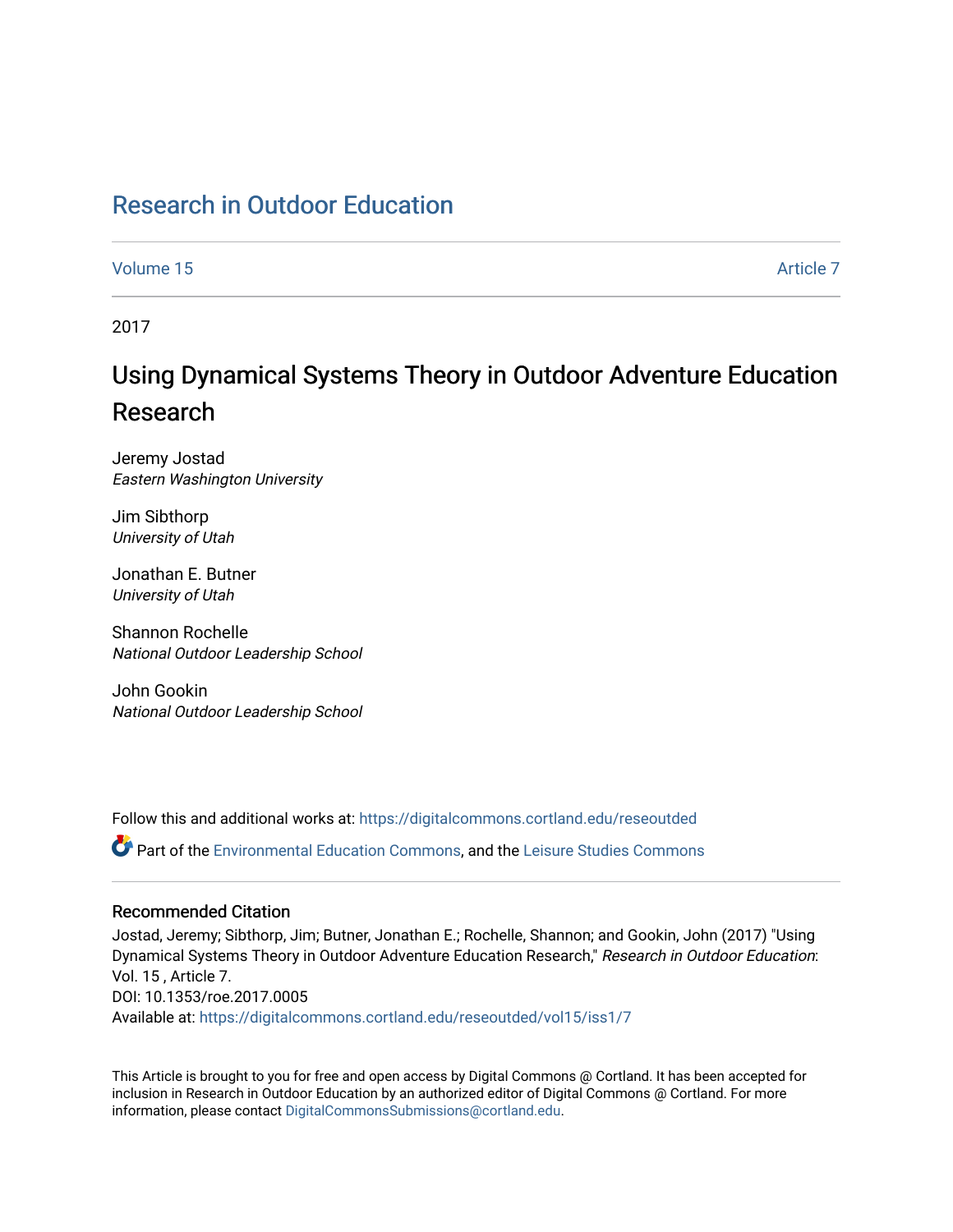## [Research in Outdoor Education](https://digitalcommons.cortland.edu/reseoutded)

[Volume 15](https://digitalcommons.cortland.edu/reseoutded/vol15) Article 7

2017

# Using Dynamical Systems Theory in Outdoor Adventure Education Research

Jeremy Jostad Eastern Washington University

Jim Sibthorp University of Utah

Jonathan E. Butner University of Utah

Shannon Rochelle National Outdoor Leadership School

John Gookin National Outdoor Leadership School

Follow this and additional works at: [https://digitalcommons.cortland.edu/reseoutded](https://digitalcommons.cortland.edu/reseoutded?utm_source=digitalcommons.cortland.edu%2Freseoutded%2Fvol15%2Fiss1%2F7&utm_medium=PDF&utm_campaign=PDFCoverPages)

Part of the [Environmental Education Commons](http://network.bepress.com/hgg/discipline/1305?utm_source=digitalcommons.cortland.edu%2Freseoutded%2Fvol15%2Fiss1%2F7&utm_medium=PDF&utm_campaign=PDFCoverPages), and the [Leisure Studies Commons](http://network.bepress.com/hgg/discipline/1197?utm_source=digitalcommons.cortland.edu%2Freseoutded%2Fvol15%2Fiss1%2F7&utm_medium=PDF&utm_campaign=PDFCoverPages) 

#### Recommended Citation

Jostad, Jeremy; Sibthorp, Jim; Butner, Jonathan E.; Rochelle, Shannon; and Gookin, John (2017) "Using Dynamical Systems Theory in Outdoor Adventure Education Research," Research in Outdoor Education: Vol. 15 , Article 7. DOI: 10.1353/roe.2017.0005 Available at: [https://digitalcommons.cortland.edu/reseoutded/vol15/iss1/7](https://digitalcommons.cortland.edu/reseoutded/vol15/iss1/7?utm_source=digitalcommons.cortland.edu%2Freseoutded%2Fvol15%2Fiss1%2F7&utm_medium=PDF&utm_campaign=PDFCoverPages) 

This Article is brought to you for free and open access by Digital Commons @ Cortland. It has been accepted for inclusion in Research in Outdoor Education by an authorized editor of Digital Commons @ Cortland. For more information, please contact [DigitalCommonsSubmissions@cortland.edu](mailto:DigitalCommonsSubmissions@cortland.edu).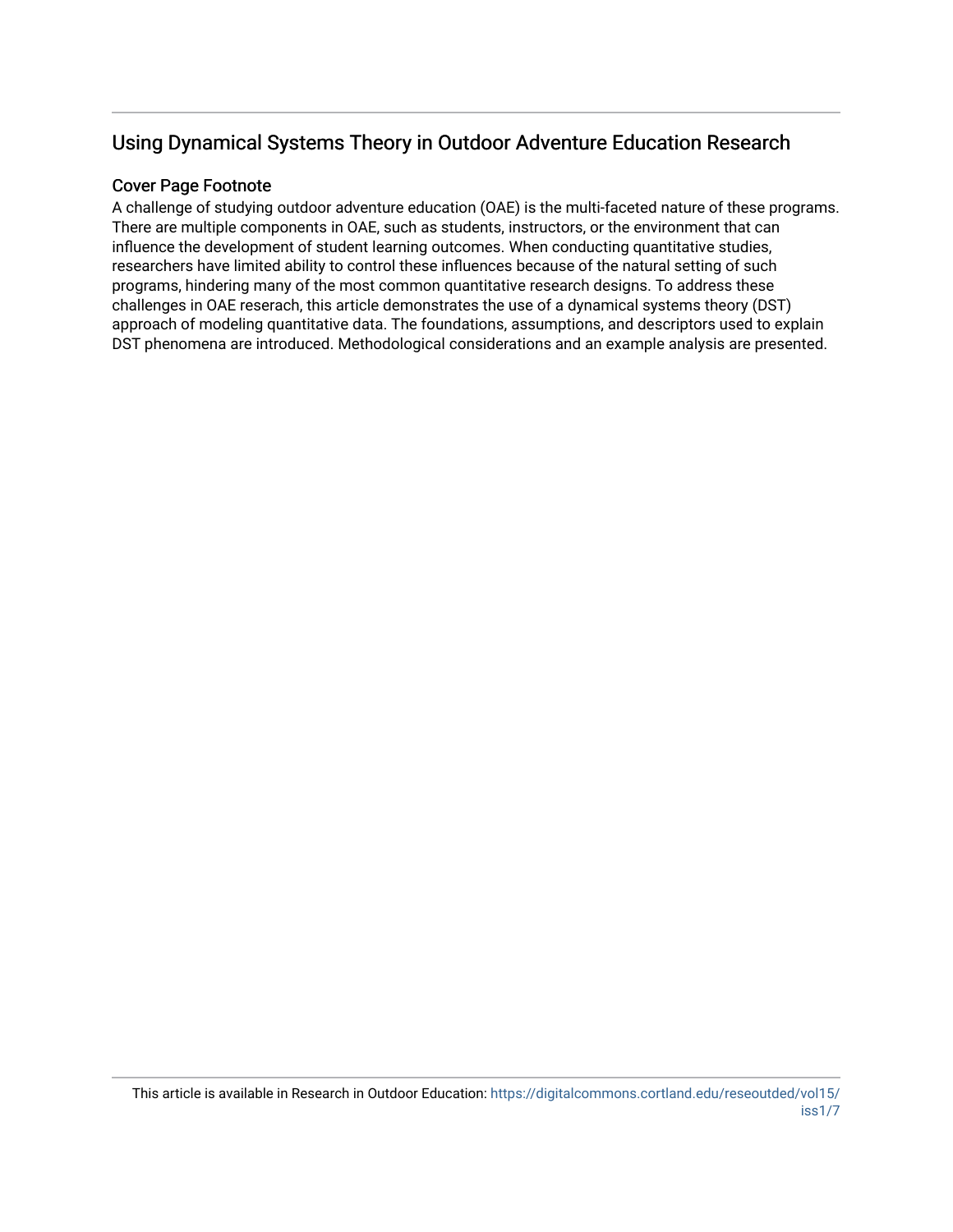## Using Dynamical Systems Theory in Outdoor Adventure Education Research

## Cover Page Footnote

A challenge of studying outdoor adventure education (OAE) is the multi-faceted nature of these programs. There are multiple components in OAE, such as students, instructors, or the environment that can influence the development of student learning outcomes. When conducting quantitative studies, researchers have limited ability to control these influences because of the natural setting of such programs, hindering many of the most common quantitative research designs. To address these challenges in OAE reserach, this article demonstrates the use of a dynamical systems theory (DST) approach of modeling quantitative data. The foundations, assumptions, and descriptors used to explain DST phenomena are introduced. Methodological considerations and an example analysis are presented.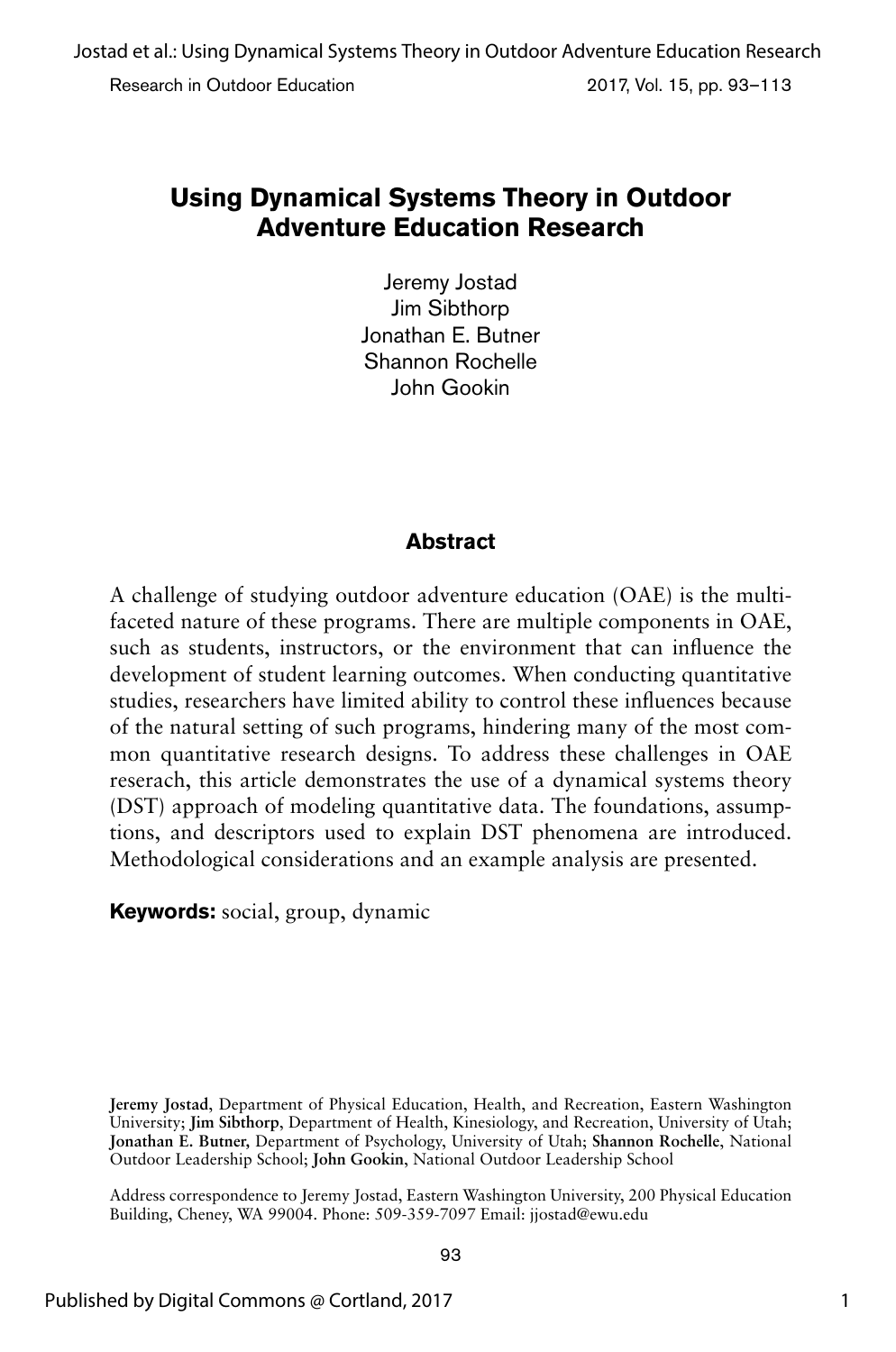Research in Outdoor Education 2017, Vol. 15, pp. 93–113

## **Using Dynamical Systems Theory in Outdoor Adventure Education Research**

Jeremy Jostad Jim Sibthorp Jonathan E. Butner Shannon Rochelle John Gookin

## **Abstract**

A challenge of studying outdoor adventure education (OAE) is the multifaceted nature of these programs. There are multiple components in OAE, such as students, instructors, or the environment that can influence the development of student learning outcomes. When conducting quantitative studies, researchers have limited ability to control these influences because of the natural setting of such programs, hindering many of the most common quantitative research designs. To address these challenges in OAE reserach, this article demonstrates the use of a dynamical systems theory (DST) approach of modeling quantitative data. The foundations, assumptions, and descriptors used to explain DST phenomena are introduced. Methodological considerations and an example analysis are presented.

**Keywords:** social, group, dynamic

**Jeremy Jostad**, Department of Physical Education, Health, and Recreation, Eastern Washington University; **Jim Sibthorp**, Department of Health, Kinesiology, and Recreation, University of Utah; **Jonathan E. Butner,** Department of Psychology, University of Utah; **Shannon Rochelle**, National Outdoor Leadership School; **John Gookin**, National Outdoor Leadership School

Address correspondence to Jeremy Jostad, Eastern Washington University, 200 Physical Education Building, Cheney, WA 99004. Phone: 509-359-7097 Email: jjostad@ewu.edu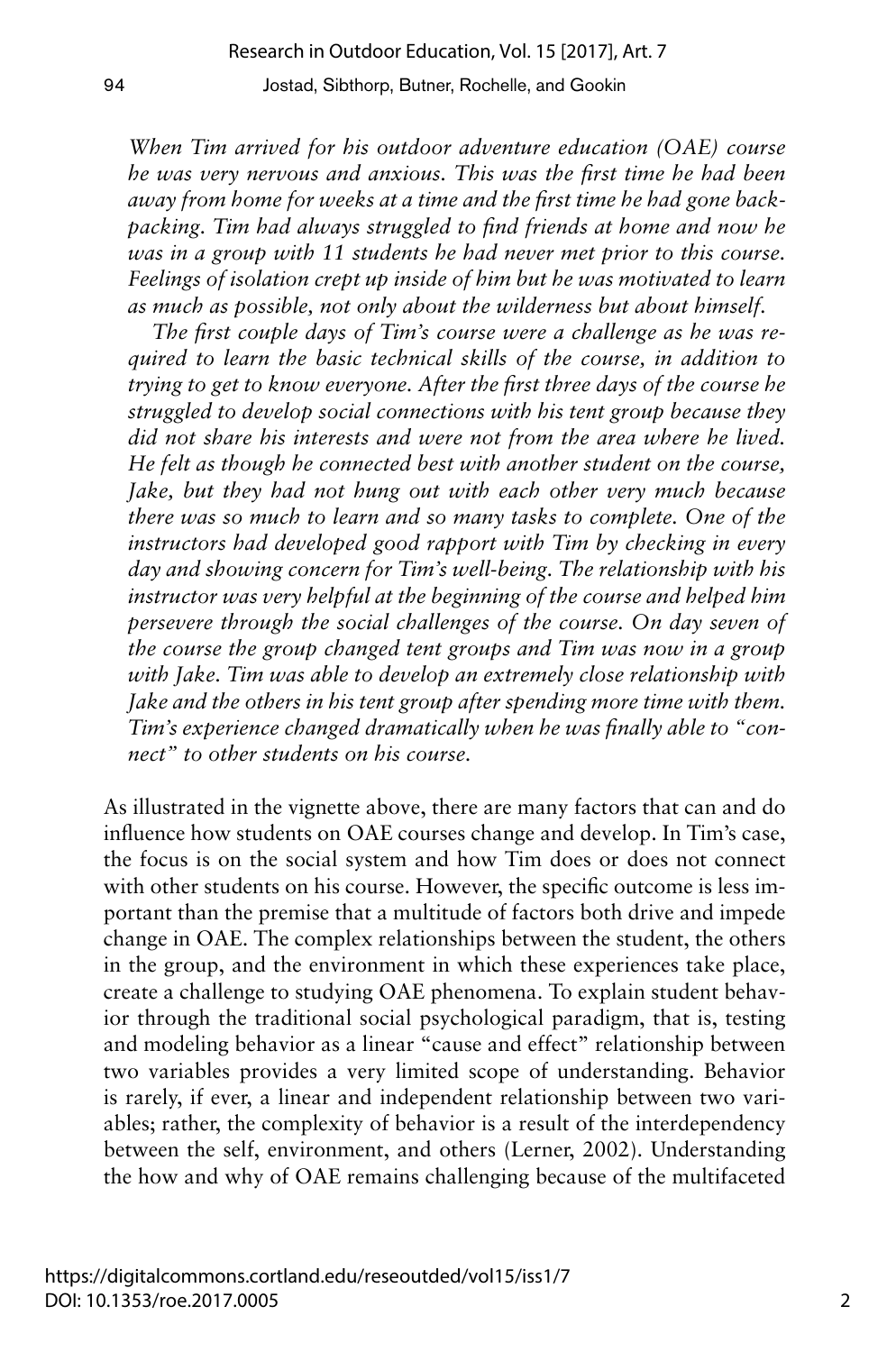*When Tim arrived for his outdoor adventure education (OAE) course he was very nervous and anxious. This was the first time he had been away from home for weeks at a time and the first time he had gone backpacking. Tim had always struggled to find friends at home and now he was in a group with 11 students he had never met prior to this course. Feelings of isolation crept up inside of him but he was motivated to learn as much as possible, not only about the wilderness but about himself.* 

*The first couple days of Tim's course were a challenge as he was required to learn the basic technical skills of the course, in addition to trying to get to know everyone. After the first three days of the course he struggled to develop social connections with his tent group because they did not share his interests and were not from the area where he lived. He felt as though he connected best with another student on the course, Jake, but they had not hung out with each other very much because there was so much to learn and so many tasks to complete. One of the instructors had developed good rapport with Tim by checking in every day and showing concern for Tim's well-being. The relationship with his instructor was very helpful at the beginning of the course and helped him persevere through the social challenges of the course. On day seven of the course the group changed tent groups and Tim was now in a group with Jake. Tim was able to develop an extremely close relationship with Jake and the others in his tent group after spending more time with them. Tim's experience changed dramatically when he was finally able to "connect" to other students on his course.* 

As illustrated in the vignette above, there are many factors that can and do influence how students on OAE courses change and develop. In Tim's case, the focus is on the social system and how Tim does or does not connect with other students on his course. However, the specific outcome is less important than the premise that a multitude of factors both drive and impede change in OAE. The complex relationships between the student, the others in the group, and the environment in which these experiences take place, create a challenge to studying OAE phenomena. To explain student behavior through the traditional social psychological paradigm, that is, testing and modeling behavior as a linear "cause and effect" relationship between two variables provides a very limited scope of understanding. Behavior is rarely, if ever, a linear and independent relationship between two variables; rather, the complexity of behavior is a result of the interdependency between the self, environment, and others (Lerner, 2002). Understanding the how and why of OAE remains challenging because of the multifaceted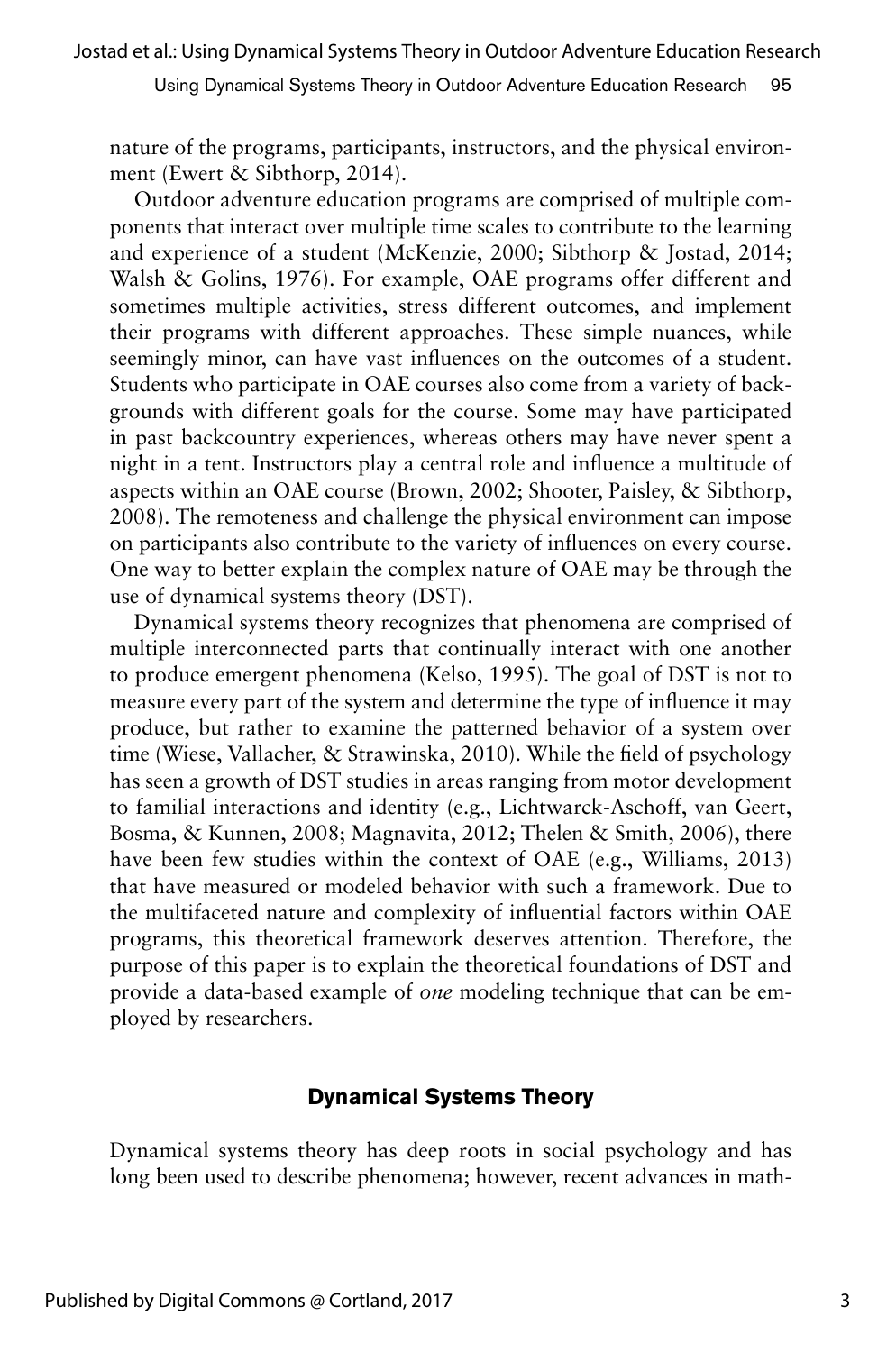Jostad et al.: Using Dynamical Systems Theory in Outdoor Adventure Education Research

Using Dynamical Systems Theory in Outdoor Adventure Education Research 95

nature of the programs, participants, instructors, and the physical environment (Ewert & Sibthorp, 2014).

Outdoor adventure education programs are comprised of multiple components that interact over multiple time scales to contribute to the learning and experience of a student (McKenzie, 2000; Sibthorp & Jostad, 2014; Walsh & Golins, 1976). For example, OAE programs offer different and sometimes multiple activities, stress different outcomes, and implement their programs with different approaches. These simple nuances, while seemingly minor, can have vast influences on the outcomes of a student. Students who participate in OAE courses also come from a variety of backgrounds with different goals for the course. Some may have participated in past backcountry experiences, whereas others may have never spent a night in a tent. Instructors play a central role and influence a multitude of aspects within an OAE course (Brown, 2002; Shooter, Paisley, & Sibthorp, 2008). The remoteness and challenge the physical environment can impose on participants also contribute to the variety of influences on every course. One way to better explain the complex nature of OAE may be through the use of dynamical systems theory (DST).

Dynamical systems theory recognizes that phenomena are comprised of multiple interconnected parts that continually interact with one another to produce emergent phenomena (Kelso, 1995). The goal of DST is not to measure every part of the system and determine the type of influence it may produce, but rather to examine the patterned behavior of a system over time (Wiese, Vallacher, & Strawinska, 2010). While the field of psychology has seen a growth of DST studies in areas ranging from motor development to familial interactions and identity (e.g., Lichtwarck-Aschoff, van Geert, Bosma, & Kunnen, 2008; Magnavita, 2012; Thelen & Smith, 2006), there have been few studies within the context of OAE (e.g., Williams, 2013) that have measured or modeled behavior with such a framework. Due to the multifaceted nature and complexity of influential factors within OAE programs, this theoretical framework deserves attention. Therefore, the purpose of this paper is to explain the theoretical foundations of DST and provide a data-based example of *one* modeling technique that can be employed by researchers.

#### **Dynamical Systems Theory**

Dynamical systems theory has deep roots in social psychology and has long been used to describe phenomena; however, recent advances in math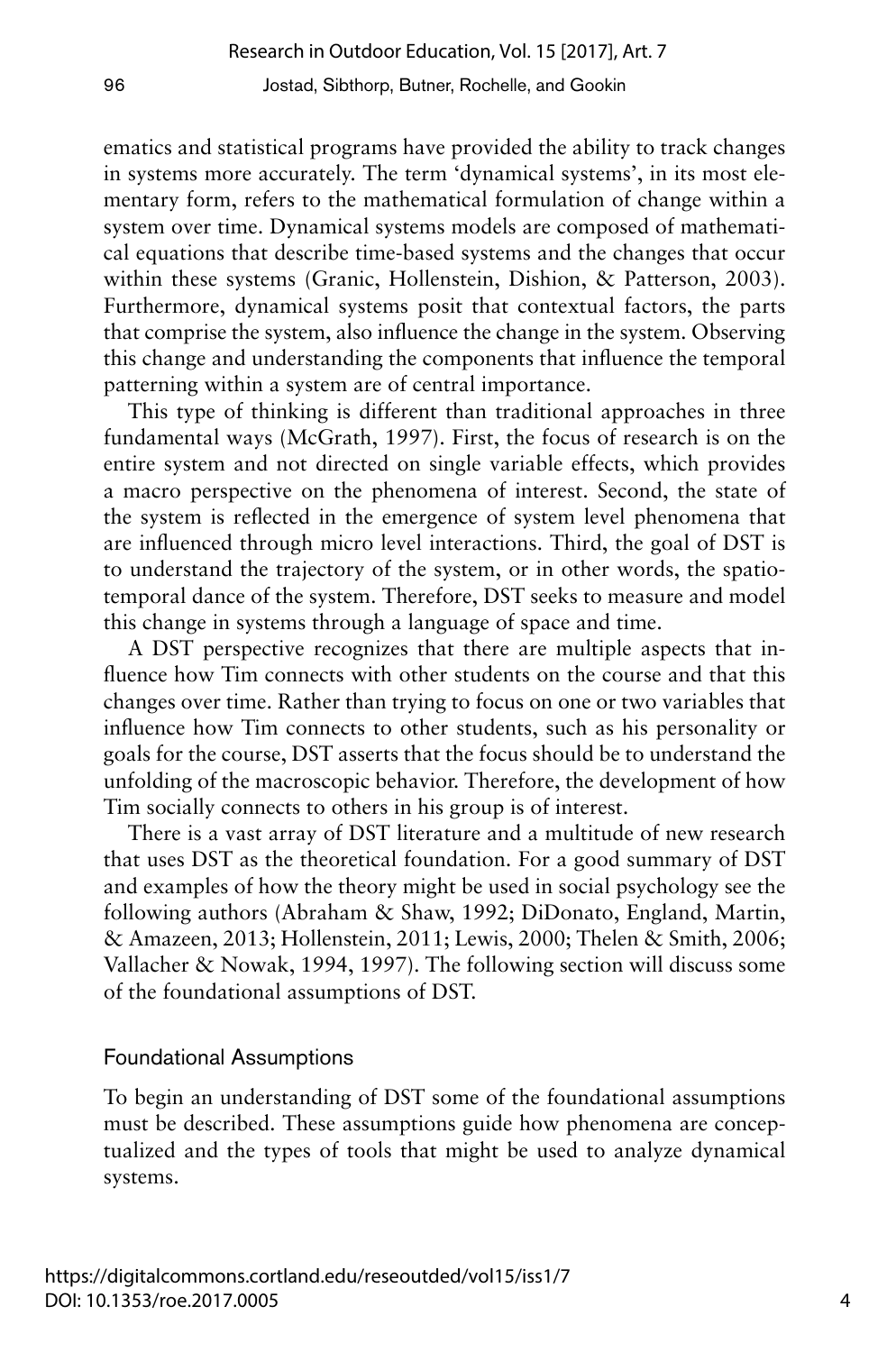ematics and statistical programs have provided the ability to track changes in systems more accurately. The term 'dynamical systems', in its most elementary form, refers to the mathematical formulation of change within a system over time. Dynamical systems models are composed of mathematical equations that describe time-based systems and the changes that occur within these systems (Granic, Hollenstein, Dishion, & Patterson, 2003). Furthermore, dynamical systems posit that contextual factors, the parts that comprise the system, also influence the change in the system. Observing this change and understanding the components that influence the temporal patterning within a system are of central importance.

This type of thinking is different than traditional approaches in three fundamental ways (McGrath, 1997). First, the focus of research is on the entire system and not directed on single variable effects, which provides a macro perspective on the phenomena of interest. Second, the state of the system is reflected in the emergence of system level phenomena that are influenced through micro level interactions. Third, the goal of DST is to understand the trajectory of the system, or in other words, the spatiotemporal dance of the system. Therefore, DST seeks to measure and model this change in systems through a language of space and time.

A DST perspective recognizes that there are multiple aspects that influence how Tim connects with other students on the course and that this changes over time. Rather than trying to focus on one or two variables that influence how Tim connects to other students, such as his personality or goals for the course, DST asserts that the focus should be to understand the unfolding of the macroscopic behavior. Therefore, the development of how Tim socially connects to others in his group is of interest.

There is a vast array of DST literature and a multitude of new research that uses DST as the theoretical foundation. For a good summary of DST and examples of how the theory might be used in social psychology see the following authors (Abraham & Shaw, 1992; DiDonato, England, Martin, & Amazeen, 2013; Hollenstein, 2011; Lewis, 2000; Thelen & Smith, 2006; Vallacher & Nowak, 1994, 1997). The following section will discuss some of the foundational assumptions of DST.

#### Foundational Assumptions

To begin an understanding of DST some of the foundational assumptions must be described. These assumptions guide how phenomena are conceptualized and the types of tools that might be used to analyze dynamical systems.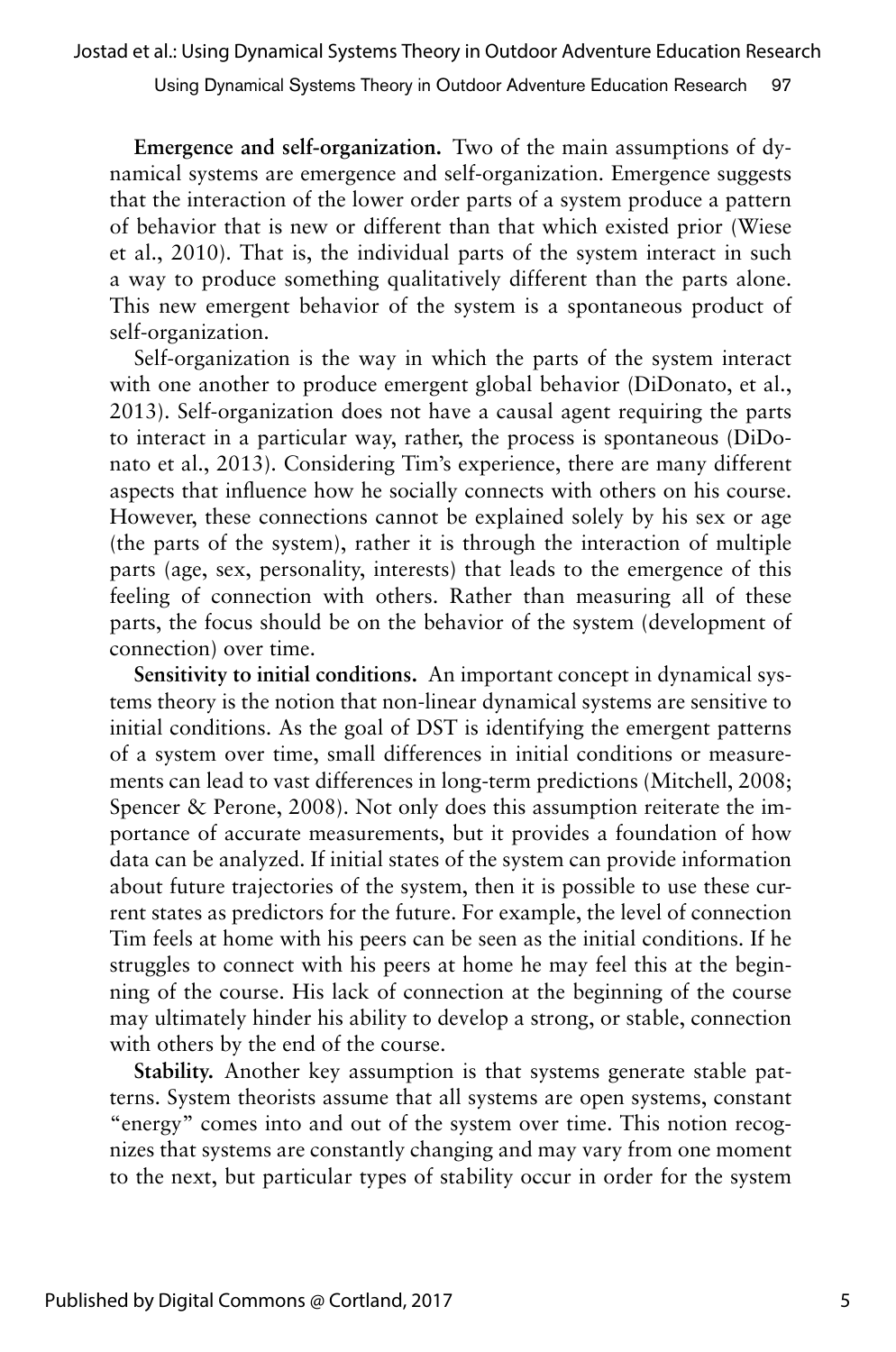Jostad et al.: Using Dynamical Systems Theory in Outdoor Adventure Education Research

Using Dynamical Systems Theory in Outdoor Adventure Education Research 97

**Emergence and self-organization.** Two of the main assumptions of dynamical systems are emergence and self-organization. Emergence suggests that the interaction of the lower order parts of a system produce a pattern of behavior that is new or different than that which existed prior (Wiese et al., 2010). That is, the individual parts of the system interact in such a way to produce something qualitatively different than the parts alone. This new emergent behavior of the system is a spontaneous product of self-organization.

Self-organization is the way in which the parts of the system interact with one another to produce emergent global behavior (DiDonato, et al., 2013). Self-organization does not have a causal agent requiring the parts to interact in a particular way, rather, the process is spontaneous (DiDonato et al., 2013). Considering Tim's experience, there are many different aspects that influence how he socially connects with others on his course. However, these connections cannot be explained solely by his sex or age (the parts of the system), rather it is through the interaction of multiple parts (age, sex, personality, interests) that leads to the emergence of this feeling of connection with others. Rather than measuring all of these parts, the focus should be on the behavior of the system (development of connection) over time.

**Sensitivity to initial conditions.** An important concept in dynamical systems theory is the notion that non-linear dynamical systems are sensitive to initial conditions. As the goal of DST is identifying the emergent patterns of a system over time, small differences in initial conditions or measurements can lead to vast differences in long-term predictions (Mitchell, 2008; Spencer & Perone, 2008). Not only does this assumption reiterate the importance of accurate measurements, but it provides a foundation of how data can be analyzed. If initial states of the system can provide information about future trajectories of the system, then it is possible to use these current states as predictors for the future. For example, the level of connection Tim feels at home with his peers can be seen as the initial conditions. If he struggles to connect with his peers at home he may feel this at the beginning of the course. His lack of connection at the beginning of the course may ultimately hinder his ability to develop a strong, or stable, connection with others by the end of the course.

**Stability.** Another key assumption is that systems generate stable patterns. System theorists assume that all systems are open systems, constant "energy" comes into and out of the system over time. This notion recognizes that systems are constantly changing and may vary from one moment to the next, but particular types of stability occur in order for the system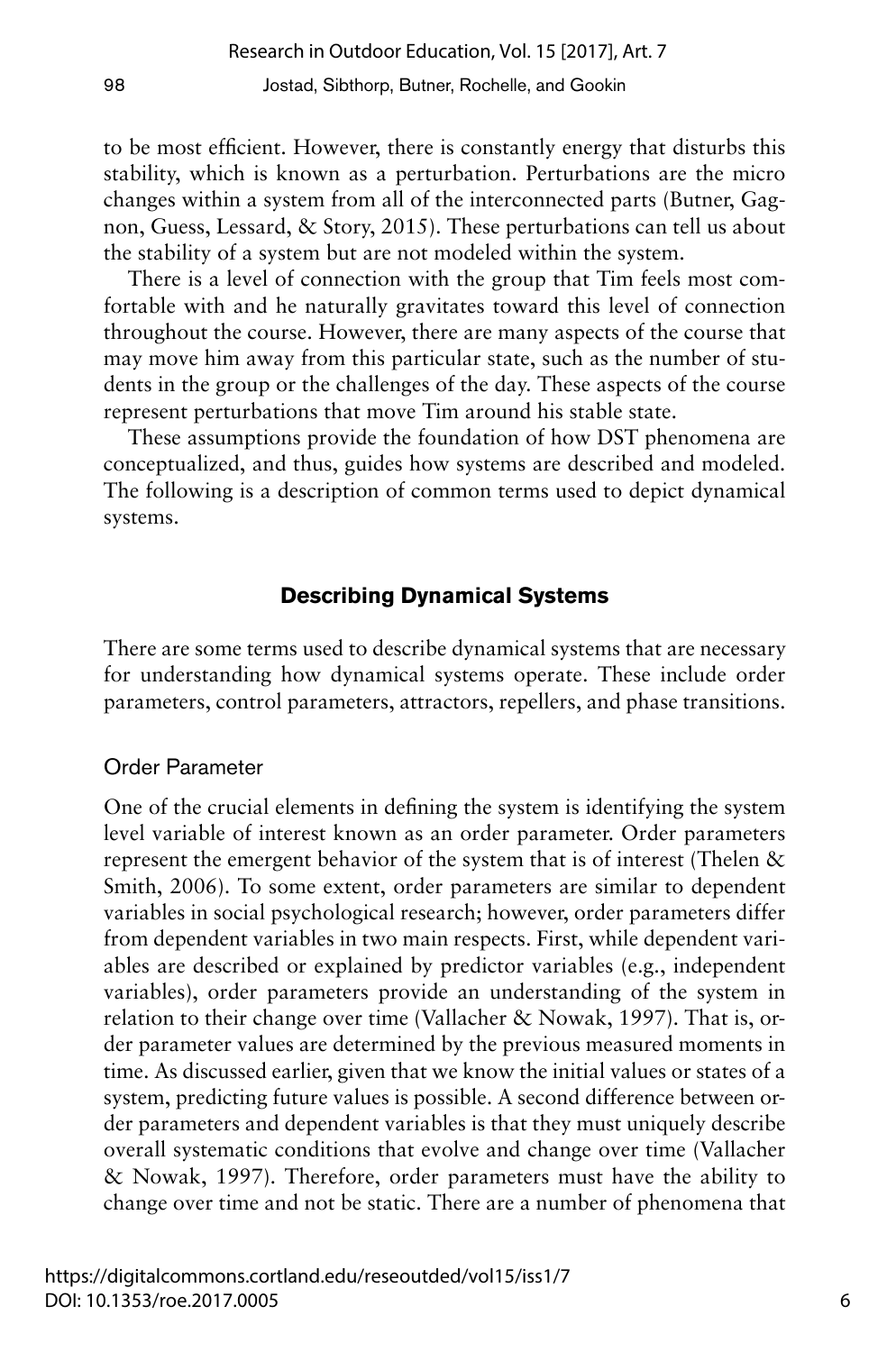to be most efficient. However, there is constantly energy that disturbs this stability, which is known as a perturbation. Perturbations are the micro changes within a system from all of the interconnected parts (Butner, Gagnon, Guess, Lessard, & Story, 2015). These perturbations can tell us about the stability of a system but are not modeled within the system.

There is a level of connection with the group that Tim feels most comfortable with and he naturally gravitates toward this level of connection throughout the course. However, there are many aspects of the course that may move him away from this particular state, such as the number of students in the group or the challenges of the day. These aspects of the course represent perturbations that move Tim around his stable state.

These assumptions provide the foundation of how DST phenomena are conceptualized, and thus, guides how systems are described and modeled. The following is a description of common terms used to depict dynamical systems.

#### **Describing Dynamical Systems**

There are some terms used to describe dynamical systems that are necessary for understanding how dynamical systems operate. These include order parameters, control parameters, attractors, repellers, and phase transitions.

#### Order Parameter

One of the crucial elements in defining the system is identifying the system level variable of interest known as an order parameter. Order parameters represent the emergent behavior of the system that is of interest (Thelen & Smith, 2006). To some extent, order parameters are similar to dependent variables in social psychological research; however, order parameters differ from dependent variables in two main respects. First, while dependent variables are described or explained by predictor variables (e.g., independent variables), order parameters provide an understanding of the system in relation to their change over time (Vallacher & Nowak, 1997). That is, order parameter values are determined by the previous measured moments in time. As discussed earlier, given that we know the initial values or states of a system, predicting future values is possible. A second difference between order parameters and dependent variables is that they must uniquely describe overall systematic conditions that evolve and change over time (Vallacher & Nowak, 1997). Therefore, order parameters must have the ability to change over time and not be static. There are a number of phenomena that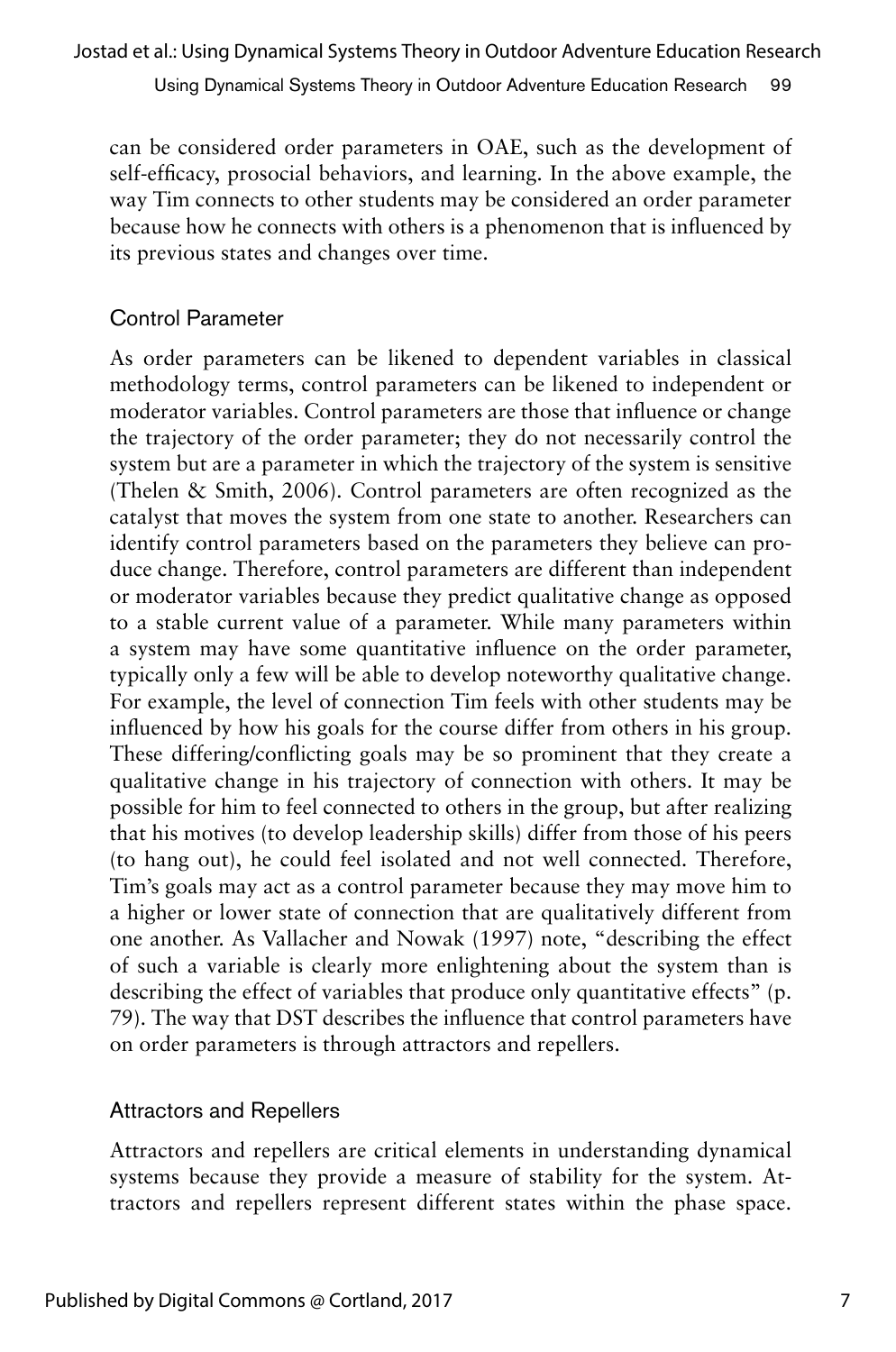Using Dynamical Systems Theory in Outdoor Adventure Education Research 99

can be considered order parameters in OAE, such as the development of self-efficacy, prosocial behaviors, and learning. In the above example, the way Tim connects to other students may be considered an order parameter because how he connects with others is a phenomenon that is influenced by its previous states and changes over time.

## Control Parameter

As order parameters can be likened to dependent variables in classical methodology terms, control parameters can be likened to independent or moderator variables. Control parameters are those that influence or change the trajectory of the order parameter; they do not necessarily control the system but are a parameter in which the trajectory of the system is sensitive (Thelen & Smith, 2006). Control parameters are often recognized as the catalyst that moves the system from one state to another. Researchers can identify control parameters based on the parameters they believe can produce change. Therefore, control parameters are different than independent or moderator variables because they predict qualitative change as opposed to a stable current value of a parameter. While many parameters within a system may have some quantitative influence on the order parameter, typically only a few will be able to develop noteworthy qualitative change. For example, the level of connection Tim feels with other students may be influenced by how his goals for the course differ from others in his group. These differing/conflicting goals may be so prominent that they create a qualitative change in his trajectory of connection with others. It may be possible for him to feel connected to others in the group, but after realizing that his motives (to develop leadership skills) differ from those of his peers (to hang out), he could feel isolated and not well connected. Therefore, Tim's goals may act as a control parameter because they may move him to a higher or lower state of connection that are qualitatively different from one another. As Vallacher and Nowak (1997) note, "describing the effect of such a variable is clearly more enlightening about the system than is describing the effect of variables that produce only quantitative effects" (p. 79). The way that DST describes the influence that control parameters have on order parameters is through attractors and repellers.

## Attractors and Repellers

Attractors and repellers are critical elements in understanding dynamical systems because they provide a measure of stability for the system. Attractors and repellers represent different states within the phase space.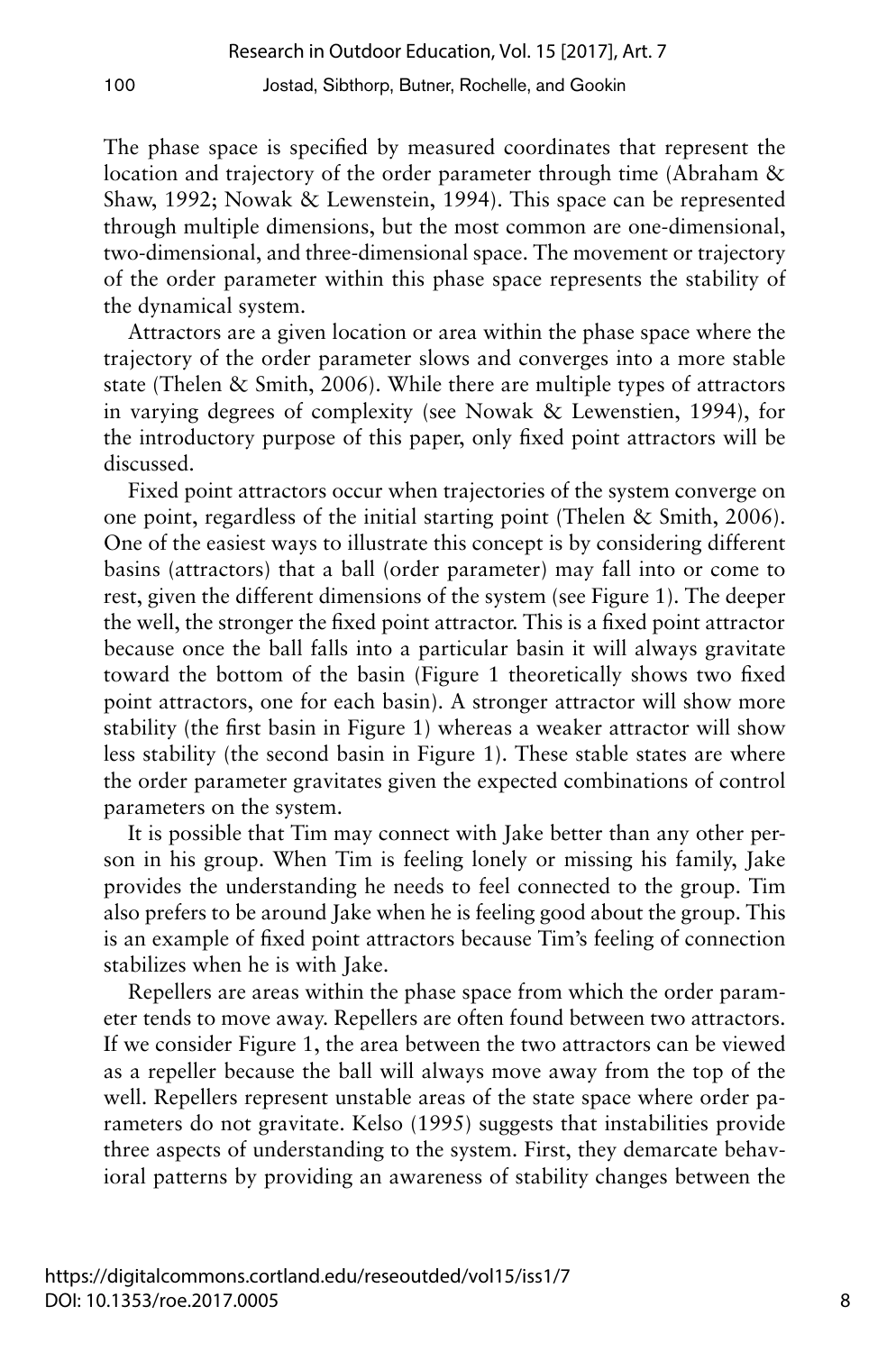The phase space is specified by measured coordinates that represent the location and trajectory of the order parameter through time (Abraham & Shaw, 1992; Nowak & Lewenstein, 1994). This space can be represented through multiple dimensions, but the most common are one- dimensional, two- dimensional, and three- dimensional space. The movement or trajectory of the order parameter within this phase space represents the stability of the dynamical system.

Attractors are a given location or area within the phase space where the trajectory of the order parameter slows and converges into a more stable state (Thelen & Smith, 2006). While there are multiple types of attractors in varying degrees of complexity (see Nowak & Lewenstien, 1994), for the introductory purpose of this paper, only fixed point attractors will be discussed.

Fixed point attractors occur when trajectories of the system converge on one point, regardless of the initial starting point (Thelen & Smith, 2006). One of the easiest ways to illustrate this concept is by considering different basins (attractors) that a ball (order parameter) may fall into or come to rest, given the different dimensions of the system (see Figure 1). The deeper the well, the stronger the fixed point attractor. This is a fixed point attractor because once the ball falls into a particular basin it will always gravitate toward the bottom of the basin (Figure 1 theoretically shows two fixed point attractors, one for each basin). A stronger attractor will show more stability (the first basin in Figure 1) whereas a weaker attractor will show less stability (the second basin in Figure 1). These stable states are where the order parameter gravitates given the expected combinations of control parameters on the system.

It is possible that Tim may connect with Jake better than any other person in his group. When Tim is feeling lonely or missing his family, Jake provides the understanding he needs to feel connected to the group. Tim also prefers to be around Jake when he is feeling good about the group. This is an example of fixed point attractors because Tim's feeling of connection stabilizes when he is with Jake.

Repellers are areas within the phase space from which the order parameter tends to move away. Repellers are often found between two attractors. If we consider Figure 1, the area between the two attractors can be viewed as a repeller because the ball will always move away from the top of the well. Repellers represent unstable areas of the state space where order parameters do not gravitate. Kelso (1995) suggests that instabilities provide three aspects of understanding to the system. First, they demarcate behavioral patterns by providing an awareness of stability changes between the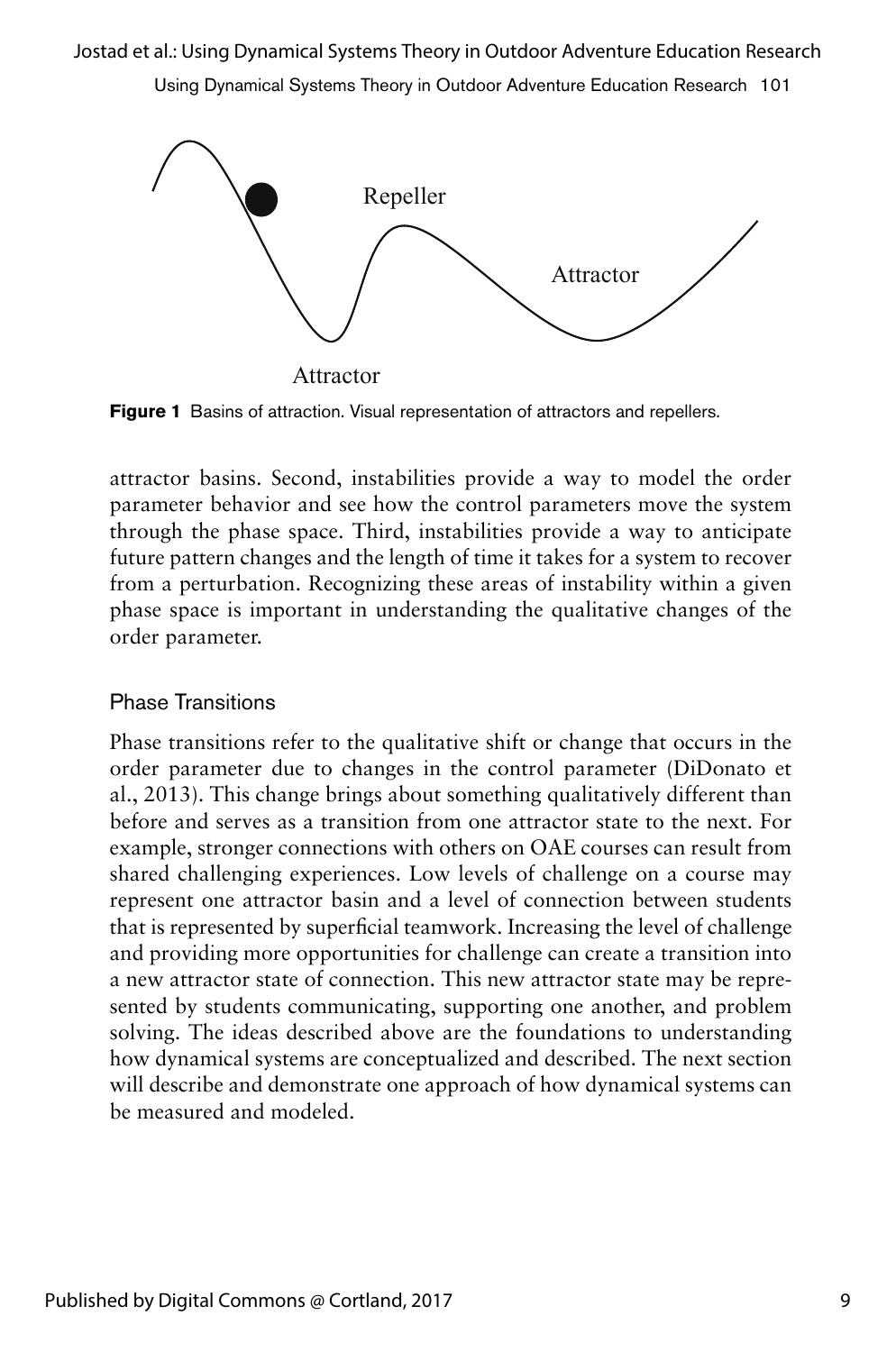Using Dynamical Systems Theory in Outdoor Adventure Education Research 101 Jostad et al.: Using Dynamical Systems Theory in Outdoor Adventure Education Research



Figure 1. Basins of attraction. Visual representation of attractors and repellers. **Figure 1** Basins of attraction. Visual representation of attractors and repellers.

attractor basins. Second, instabilities provide a way to model the order parameter behavior and see how the control parameters move the system through the phase space. Third, instabilities provide a way to anticipate future pattern changes and the length of time it takes for a system to recover from a perturbation. Recognizing these areas of instability within a given phase space is important in understanding the qualitative changes of the order parameter.

### Phase Transitions

Phase transitions refer to the qualitative shift or change that occurs in the order parameter due to changes in the control parameter (DiDonato et al., 2013). This change brings about something qualitatively different than before and serves as a transition from one attractor state to the next. For example, stronger connections with others on OAE courses can result from shared challenging experiences. Low levels of challenge on a course may represent one attractor basin and a level of connection between students that is represented by superficial teamwork. Increasing the level of challenge and providing more opportunities for challenge can create a transition into a new attractor state of connection. This new attractor state may be represented by students communicating, supporting one another, and problem solving. The ideas described above are the foundations to understanding how dynamical systems are conceptualized and described. The next section will describe and demonstrate one approach of how dynamical systems can be measured and modeled.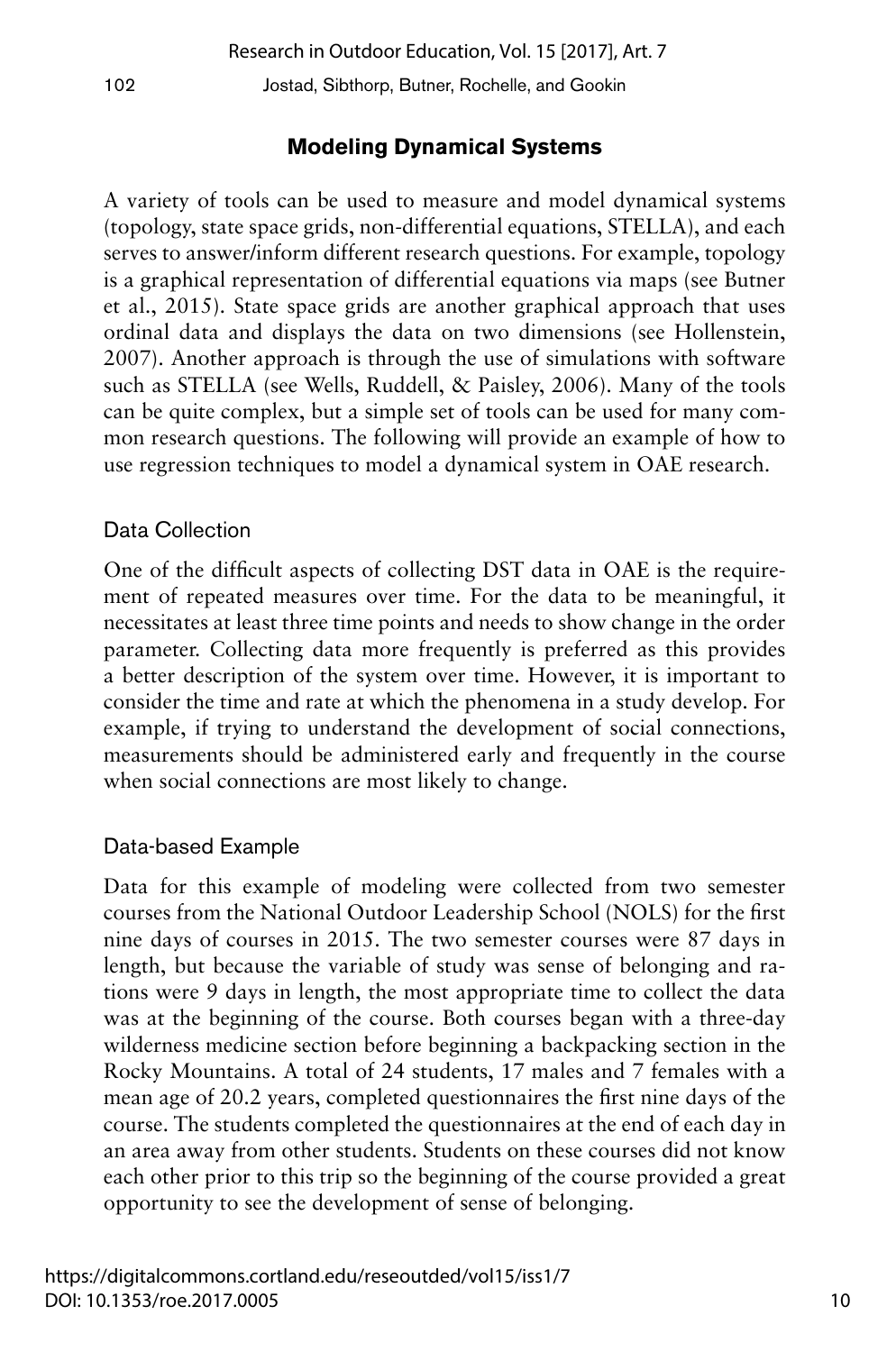102 Jostad, Sibthorp, Butner, Rochelle, and Gookin

## **Modeling Dynamical Systems**

A variety of tools can be used to measure and model dynamical systems (topology, state space grids, non-differential equations, STELLA), and each serves to answer/inform different research questions. For example, topology is a graphical representation of differential equations via maps (see Butner et al., 2015). State space grids are another graphical approach that uses ordinal data and displays the data on two dimensions (see Hollenstein, 2007). Another approach is through the use of simulations with software such as STELLA (see Wells, Ruddell, & Paisley, 2006). Many of the tools can be quite complex, but a simple set of tools can be used for many common research questions. The following will provide an example of how to use regression techniques to model a dynamical system in OAE research.

## Data Collection

One of the difficult aspects of collecting DST data in OAE is the requirement of repeated measures over time. For the data to be meaningful, it necessitates at least three time points and needs to show change in the order parameter. Collecting data more frequently is preferred as this provides a better description of the system over time. However, it is important to consider the time and rate at which the phenomena in a study develop. For example, if trying to understand the development of social connections, measurements should be administered early and frequently in the course when social connections are most likely to change.

### Data-based Example

Data for this example of modeling were collected from two semester courses from the National Outdoor Leadership School (NOLS) for the first nine days of courses in 2015. The two semester courses were 87 days in length, but because the variable of study was sense of belonging and rations were 9 days in length, the most appropriate time to collect the data was at the beginning of the course. Both courses began with a three-day wilderness medicine section before beginning a backpacking section in the Rocky Mountains. A total of 24 students, 17 males and 7 females with a mean age of 20.2 years, completed questionnaires the first nine days of the course. The students completed the questionnaires at the end of each day in an area away from other students. Students on these courses did not know each other prior to this trip so the beginning of the course provided a great opportunity to see the development of sense of belonging.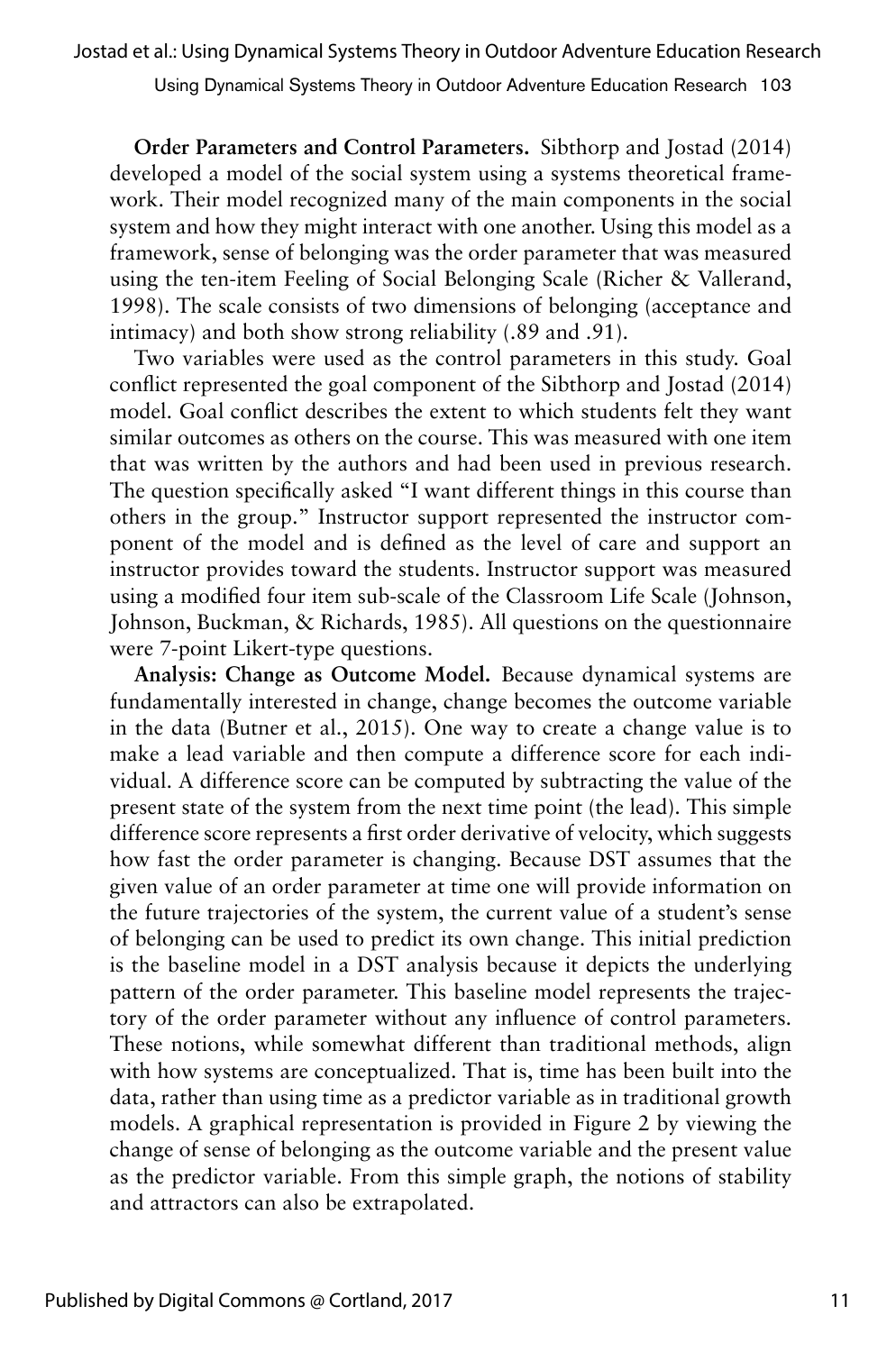Using Dynamical Systems Theory in Outdoor Adventure Education Research 103 Jostad et al.: Using Dynamical Systems Theory in Outdoor Adventure Education Research

**Order Parameters and Control Parameters.** Sibthorp and Jostad (2014) developed a model of the social system using a systems theoretical framework. Their model recognized many of the main components in the social system and how they might interact with one another. Using this model as a framework, sense of belonging was the order parameter that was measured using the ten-item Feeling of Social Belonging Scale (Richer & Vallerand, 1998). The scale consists of two dimensions of belonging (acceptance and intimacy) and both show strong reliability (.89 and .91).

Two variables were used as the control parameters in this study. Goal conflict represented the goal component of the Sibthorp and Jostad (2014) model. Goal conflict describes the extent to which students felt they want similar outcomes as others on the course. This was measured with one item that was written by the authors and had been used in previous research. The question specifically asked "I want different things in this course than others in the group." Instructor support represented the instructor component of the model and is defined as the level of care and support an instructor provides toward the students. Instructor support was measured using a modified four item sub-scale of the Classroom Life Scale (Johnson, Johnson, Buckman, & Richards, 1985). All questions on the questionnaire were 7-point Likert-type questions.

**Analysis: Change as Outcome Model.** Because dynamical systems are fundamentally interested in change, change becomes the outcome variable in the data (Butner et al., 2015). One way to create a change value is to make a lead variable and then compute a difference score for each individual. A difference score can be computed by subtracting the value of the present state of the system from the next time point (the lead). This simple difference score represents a first order derivative of velocity, which suggests how fast the order parameter is changing. Because DST assumes that the given value of an order parameter at time one will provide information on the future trajectories of the system, the current value of a student's sense of belonging can be used to predict its own change. This initial prediction is the baseline model in a DST analysis because it depicts the underlying pattern of the order parameter. This baseline model represents the trajectory of the order parameter without any influence of control parameters. These notions, while somewhat different than traditional methods, align with how systems are conceptualized. That is, time has been built into the data, rather than using time as a predictor variable as in traditional growth models. A graphical representation is provided in Figure 2 by viewing the change of sense of belonging as the outcome variable and the present value as the predictor variable. From this simple graph, the notions of stability and attractors can also be extrapolated.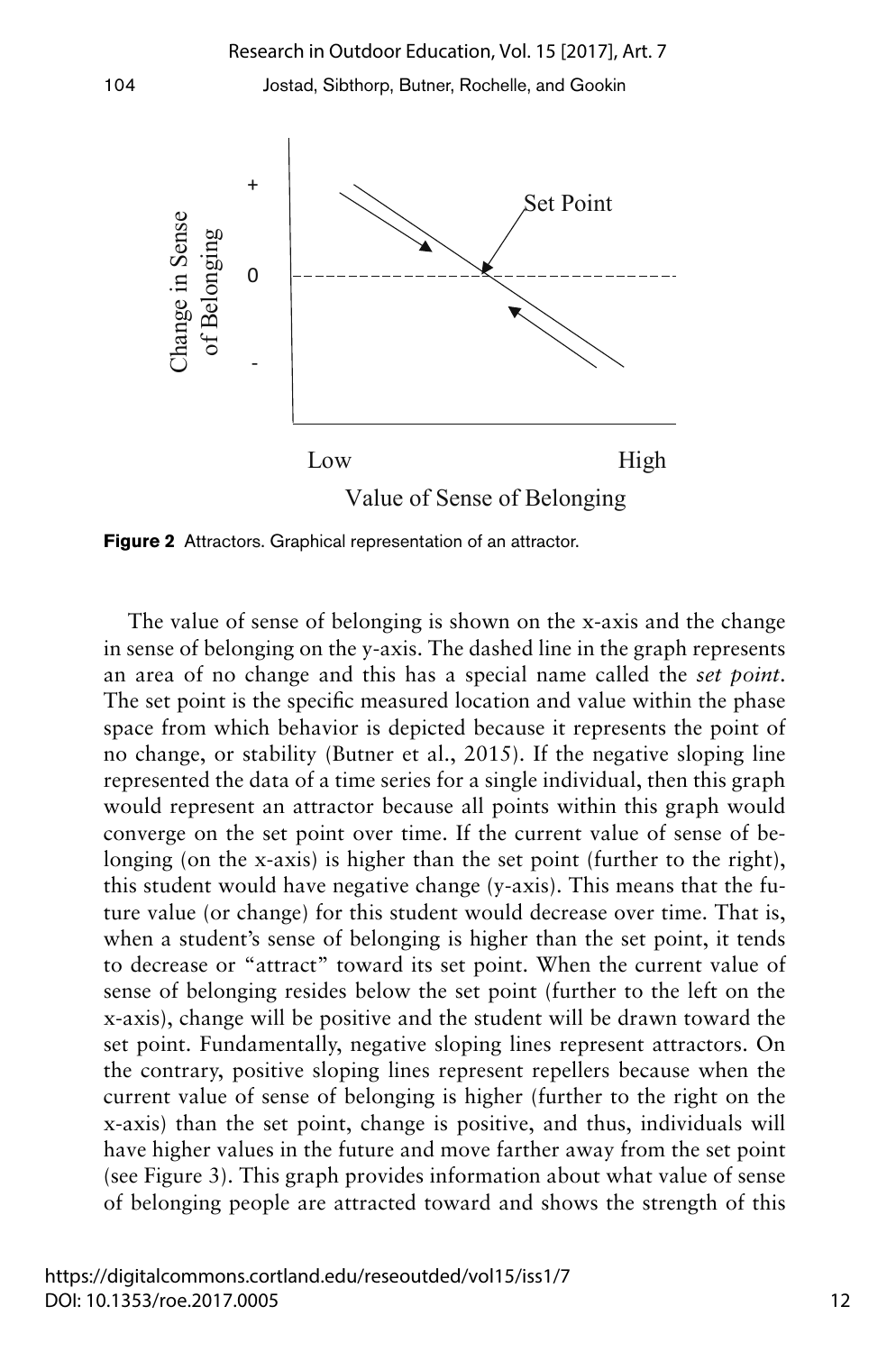104 Jostad, Sibthorp, Butner, Rochelle, and Gookin



**Figure 2** Attractors. Graphical representation of an attractor.

The value of sense of belonging is shown on the x-axis and the change in sense of belonging on the y- axis. The dashed line in the graph represents an area of no change and this has a special name called the *set point*. The set point is the specific measured location and value within the phase space from which behavior is depicted because it represents the point of no change, or stability (Butner et al., 2015). If the negative sloping line represented the data of a time series for a single individual, then this graph would represent an attractor because all points within this graph would converge on the set point over time. If the current value of sense of belonging (on the x-axis) is higher than the set point (further to the right), this student would have negative change (y-axis). This means that the future value (or change) for this student would decrease over time. That is, when a student's sense of belonging is higher than the set point, it tends to decrease or "attract" toward its set point. When the current value of sense of belonging resides below the set point (further to the left on the x- axis), change will be positive and the student will be drawn toward the set point. Fundamentally, negative sloping lines represent attractors. On the contrary, positive sloping lines represent repellers because when the current value of sense of belonging is higher (further to the right on the x- axis) than the set point, change is positive, and thus, individuals will have higher values in the future and move farther away from the set point (see Figure 3). This graph provides information about what value of sense of belonging people are attracted toward and shows the strength of this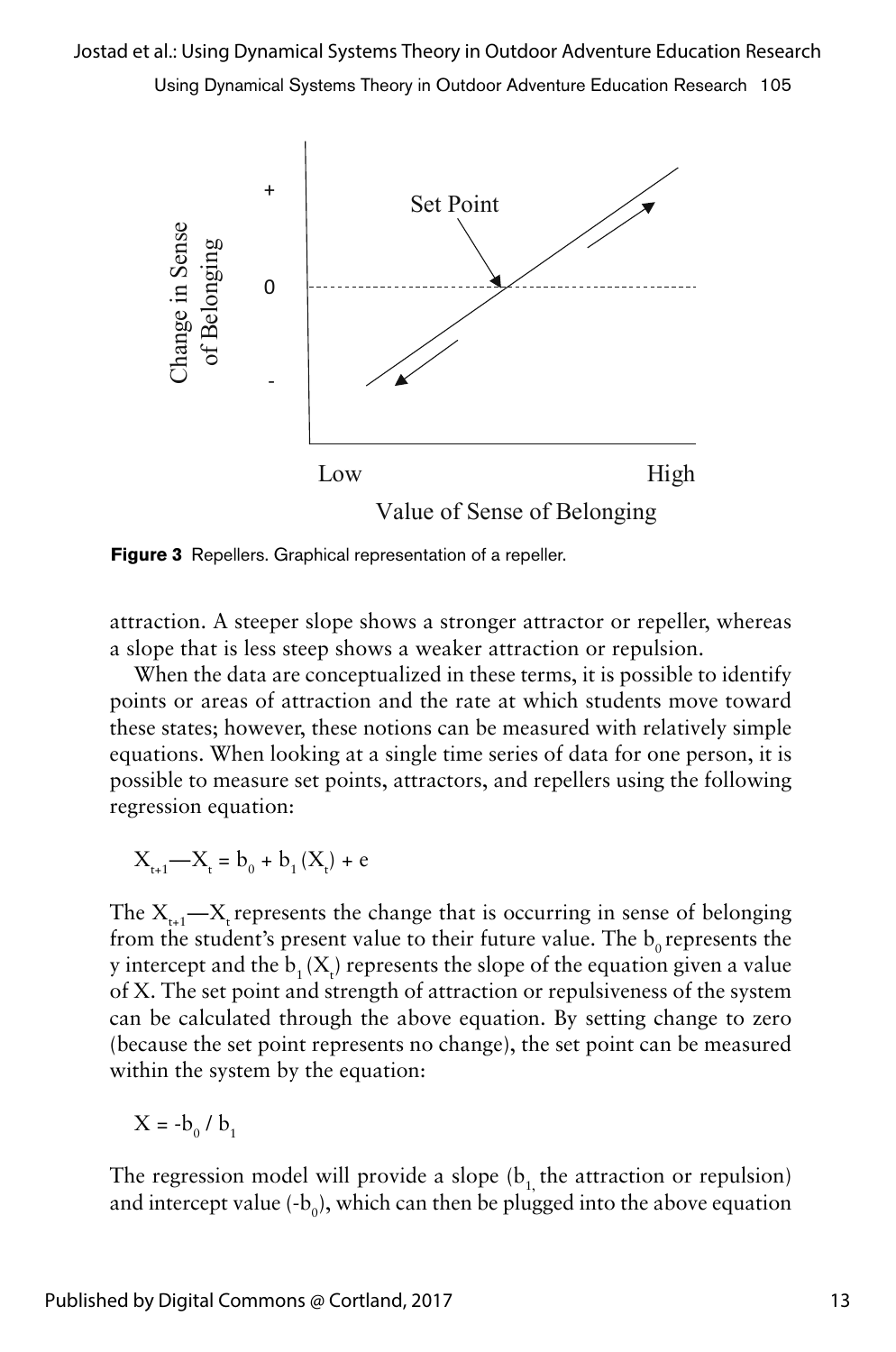Using Dynamical Systems Theory in Outdoor Adventure Education Research 105 Jostad et al.: Using Dynamical Systems Theory in Outdoor Adventure Education Research



**Figure 3** Repellers. Graphical representation of a repeller.

attraction. A steeper slope shows a stronger attractor or repeller, whereas a slope that is less steep shows a weaker attraction or repulsion.

When the data are conceptualized in these terms, it is possible to identify points or areas of attraction and the rate at which students move toward these states; however, these notions can be measured with relatively simple equations. When looking at a single time series of data for one person, it is possible to measure set points, attractors, and repellers using the following regression equation:

 $X_{t+1}$  -  $X_t = b_0 + b_1(X_t) + e_0$ 

The  $X_{t+1}$ — $X_t$  represents the change that is occurring in sense of belonging from the student's present value to their future value. The  $b_0$  represents the y intercept and the  $b_1(X_t)$  represents the slope of the equation given a value of X. The set point and strength of attraction or repulsiveness of the system can be calculated through the above equation. By setting change to zero (because the set point represents no change), the set point can be measured within the system by the equation:

 $X = -b_0 / b_1$ 

The regression model will provide a slope  $(b<sub>1</sub>$  the attraction or repulsion) and intercept value  $(-b_0)$ , which can then be plugged into the above equation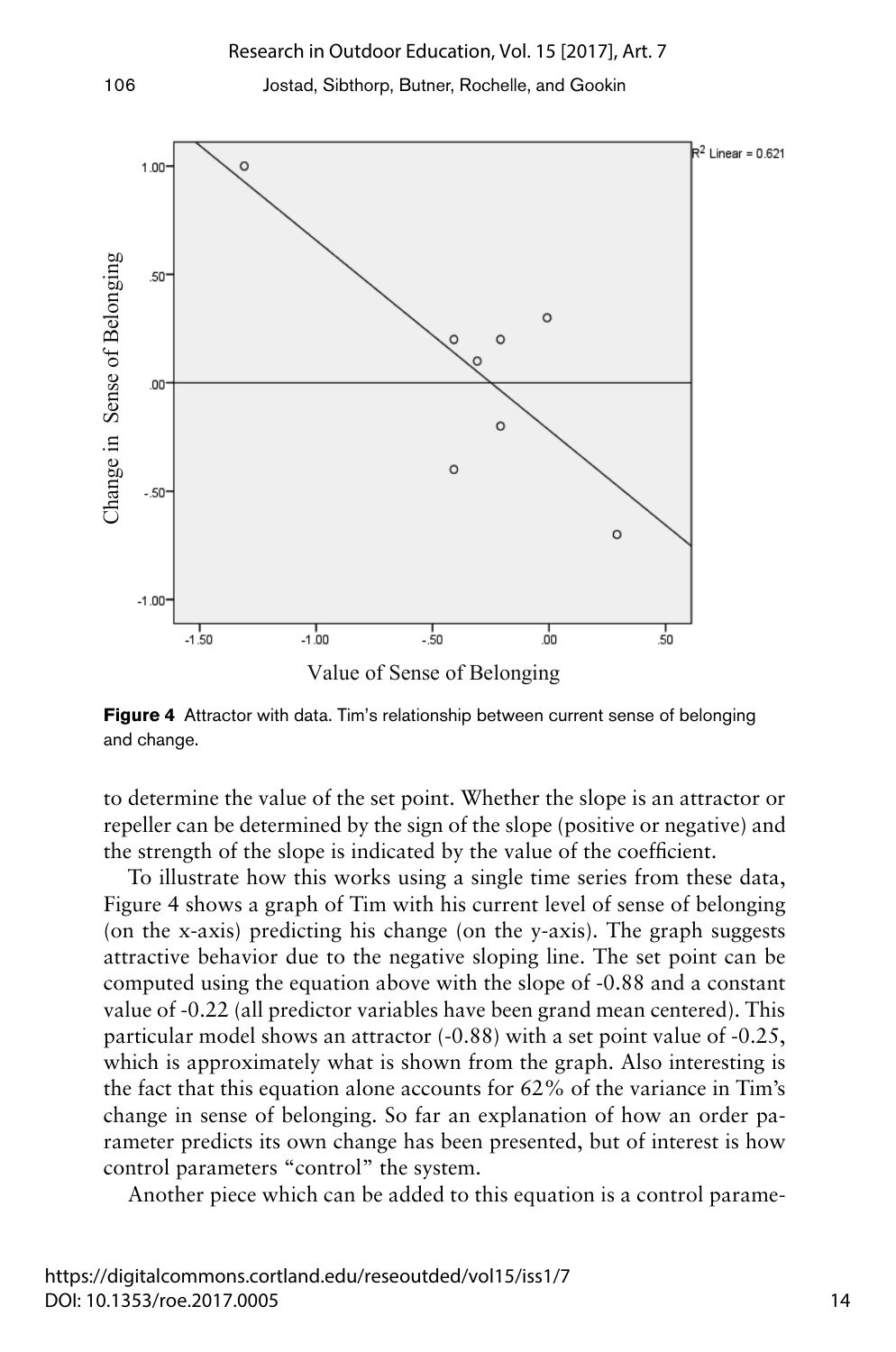106 Jostad, Sibthorp, Butner, Rochelle, and Gookin



**Figure 4** Attractor with data. Tim's relationship between current sense of belonging and change.

to determine the value of the set point. Whether the slope is an attractor or repeller can be determined by the sign of the slope (positive or negative) and the strength of the slope is indicated by the value of the coefficient.

To illustrate how this works using a single time series from these data, Figure 4 shows a graph of Tim with his current level of sense of belonging (on the x-axis) predicting his change (on the y-axis). The graph suggests attractive behavior due to the negative sloping line. The set point can be computed using the equation above with the slope of - 0.88 and a constant value of -0.22 (all predictor variables have been grand mean centered). This particular model shows an attractor (-0.88) with a set point value of -0.25, which is approximately what is shown from the graph. Also interesting is the fact that this equation alone accounts for 62% of the variance in Tim's change in sense of belonging. So far an explanation of how an order parameter predicts its own change has been presented, but of interest is how control parameters "control" the system.

Another piece which can be added to this equation is a control parame-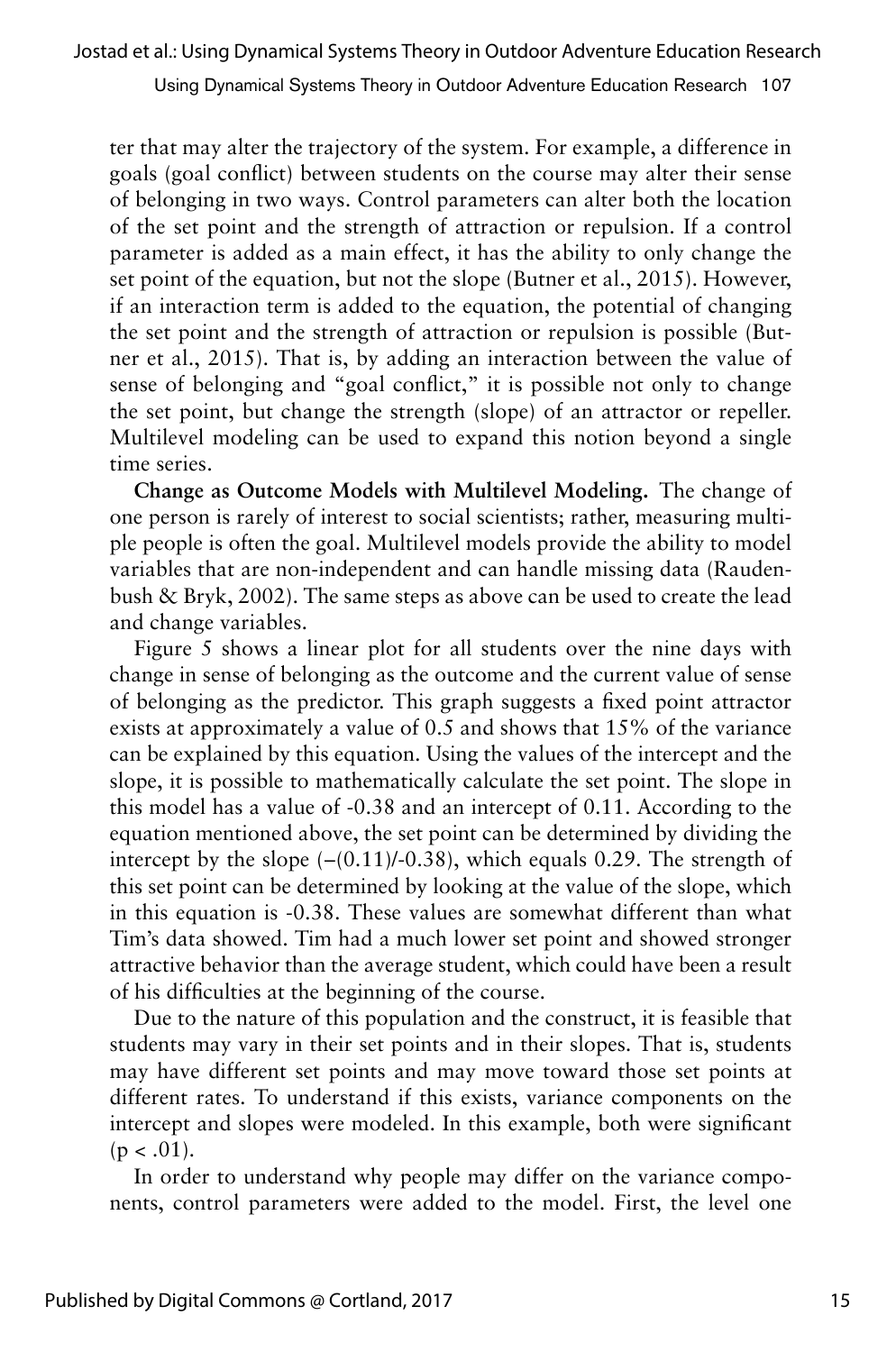Using Dynamical Systems Theory in Outdoor Adventure Education Research 107 Jostad et al.: Using Dynamical Systems Theory in Outdoor Adventure Education Research

ter that may alter the trajectory of the system. For example, a difference in goals (goal conflict) between students on the course may alter their sense of belonging in two ways. Control parameters can alter both the location of the set point and the strength of attraction or repulsion. If a control parameter is added as a main effect, it has the ability to only change the set point of the equation, but not the slope (Butner et al., 2015). However, if an interaction term is added to the equation, the potential of changing the set point and the strength of attraction or repulsion is possible (Butner et al., 2015). That is, by adding an interaction between the value of sense of belonging and "goal conflict," it is possible not only to change the set point, but change the strength (slope) of an attractor or repeller. Multilevel modeling can be used to expand this notion beyond a single time series.

**Change as Outcome Models with Multilevel Modeling.** The change of one person is rarely of interest to social scientists; rather, measuring multiple people is often the goal. Multilevel models provide the ability to model variables that are non-independent and can handle missing data (Raudenbush & Bryk, 2002). The same steps as above can be used to create the lead and change variables.

Figure 5 shows a linear plot for all students over the nine days with change in sense of belonging as the outcome and the current value of sense of belonging as the predictor. This graph suggests a fixed point attractor exists at approximately a value of 0.5 and shows that 15% of the variance can be explained by this equation. Using the values of the intercept and the slope, it is possible to mathematically calculate the set point. The slope in this model has a value of -0.38 and an intercept of 0.11. According to the equation mentioned above, the set point can be determined by dividing the intercept by the slope  $(-(0.11)/-0.38)$ , which equals 0.29. The strength of this set point can be determined by looking at the value of the slope, which in this equation is -0.38. These values are somewhat different than what Tim's data showed. Tim had a much lower set point and showed stronger attractive behavior than the average student, which could have been a result of his difficulties at the beginning of the course.

Due to the nature of this population and the construct, it is feasible that students may vary in their set points and in their slopes. That is, students may have different set points and may move toward those set points at different rates. To understand if this exists, variance components on the intercept and slopes were modeled. In this example, both were significant  $(p < .01)$ .

In order to understand why people may differ on the variance components, control parameters were added to the model. First, the level one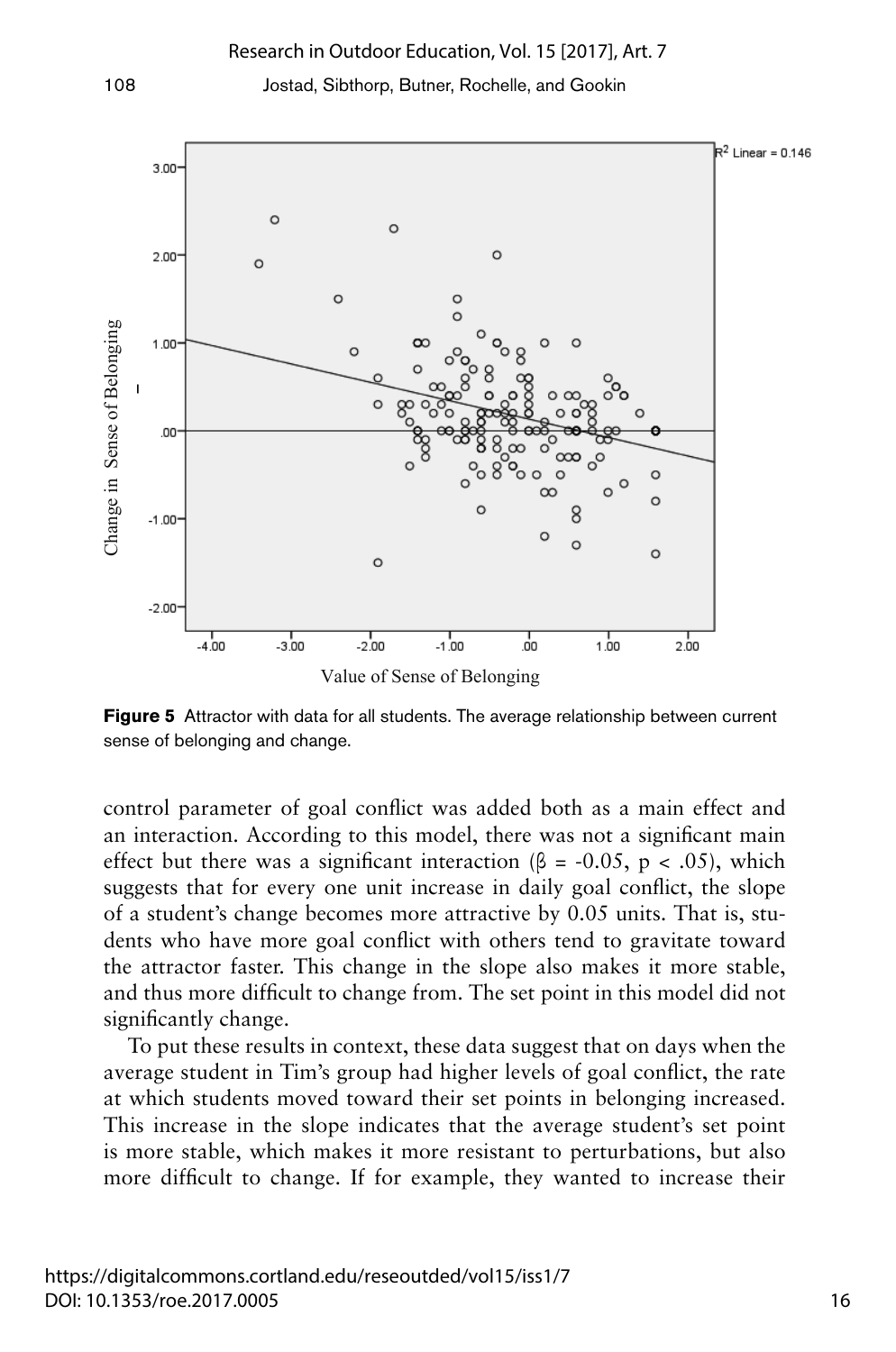



sense of belonging and change. The average relationship between current  $\mathbf{r}_{\text{max}}$ **Figure 5** Attractor with data for all students. The average relationship between current

control parameter of goal conflict was added both as a main effect and an interaction. According to this model, there was not a significant main effect but there was a significant interaction ( $\beta$  = -0.05, p < .05), which suggests that for every one unit increase in daily goal conflict, the slope of a student's change becomes more attractive by 0.05 units. That is, students who have more goal conflict with others tend to gravitate toward the attractor faster. This change in the slope also makes it more stable, and thus more difficult to change from. The set point in this model did not significantly change.

To put these results in context, these data suggest that on days when the average student in Tim's group had higher levels of goal conflict, the rate at which students moved toward their set points in belonging increased. This increase in the slope indicates that the average student's set point is more stable, which makes it more resistant to perturbations, but also more difficult to change. If for example, they wanted to increase their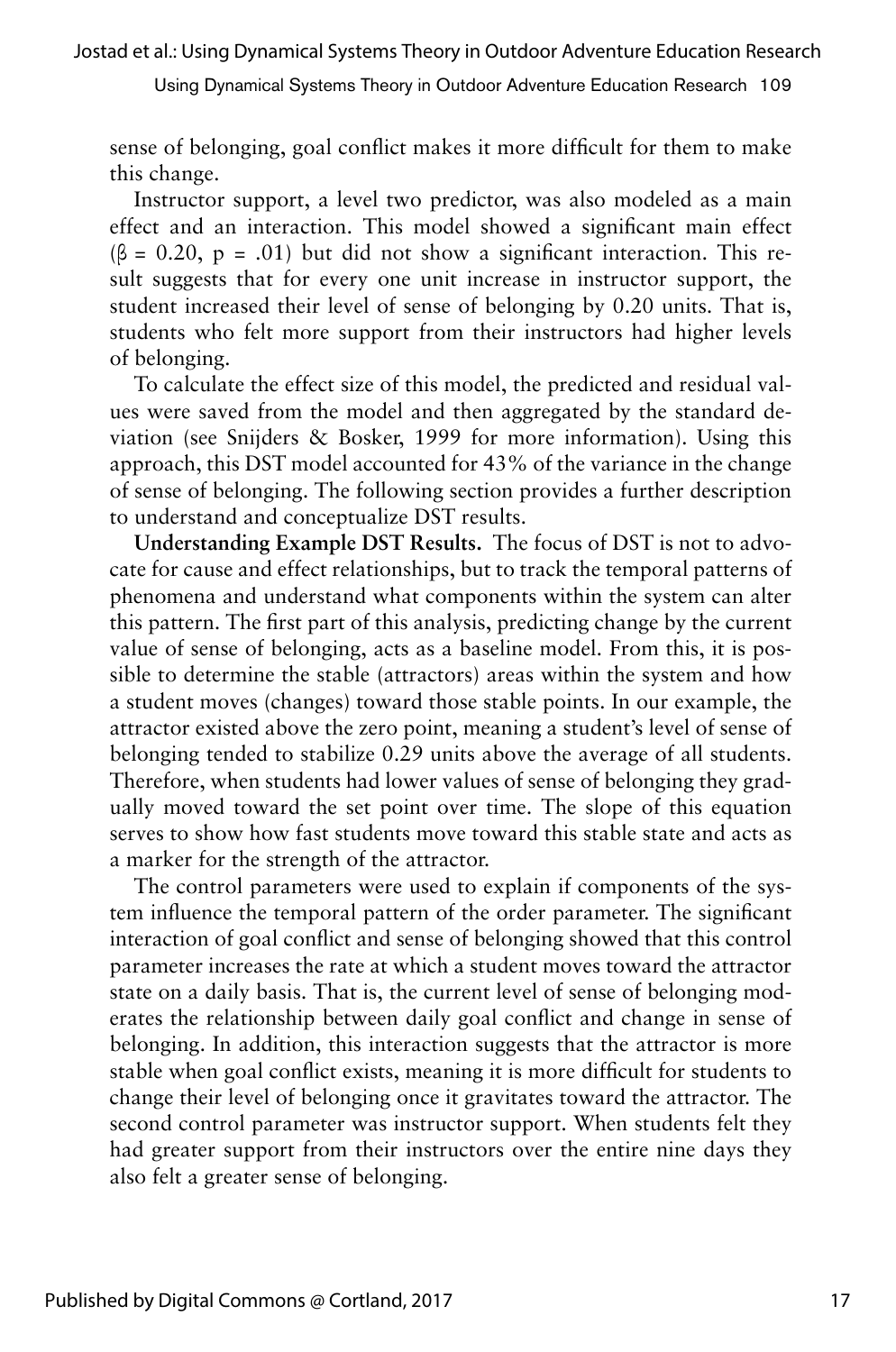Using Dynamical Systems Theory in Outdoor Adventure Education Research 109

sense of belonging, goal conflict makes it more difficult for them to make this change.

Instructor support, a level two predictor, was also modeled as a main effect and an interaction. This model showed a significant main effect  $(\beta = 0.20, p = .01)$  but did not show a significant interaction. This result suggests that for every one unit increase in instructor support, the student increased their level of sense of belonging by 0.20 units. That is, students who felt more support from their instructors had higher levels of belonging.

To calculate the effect size of this model, the predicted and residual values were saved from the model and then aggregated by the standard deviation (see Snijders & Bosker, 1999 for more information). Using this approach, this DST model accounted for 43% of the variance in the change of sense of belonging. The following section provides a further description to understand and conceptualize DST results.

**Understanding Example DST Results.** The focus of DST is not to advocate for cause and effect relationships, but to track the temporal patterns of phenomena and understand what components within the system can alter this pattern. The first part of this analysis, predicting change by the current value of sense of belonging, acts as a baseline model. From this, it is possible to determine the stable (attractors) areas within the system and how a student moves (changes) toward those stable points. In our example, the attractor existed above the zero point, meaning a student's level of sense of belonging tended to stabilize 0.29 units above the average of all students. Therefore, when students had lower values of sense of belonging they gradually moved toward the set point over time. The slope of this equation serves to show how fast students move toward this stable state and acts as a marker for the strength of the attractor.

The control parameters were used to explain if components of the system influence the temporal pattern of the order parameter. The significant interaction of goal conflict and sense of belonging showed that this control parameter increases the rate at which a student moves toward the attractor state on a daily basis. That is, the current level of sense of belonging moderates the relationship between daily goal conflict and change in sense of belonging. In addition, this interaction suggests that the attractor is more stable when goal conflict exists, meaning it is more difficult for students to change their level of belonging once it gravitates toward the attractor. The second control parameter was instructor support. When students felt they had greater support from their instructors over the entire nine days they also felt a greater sense of belonging.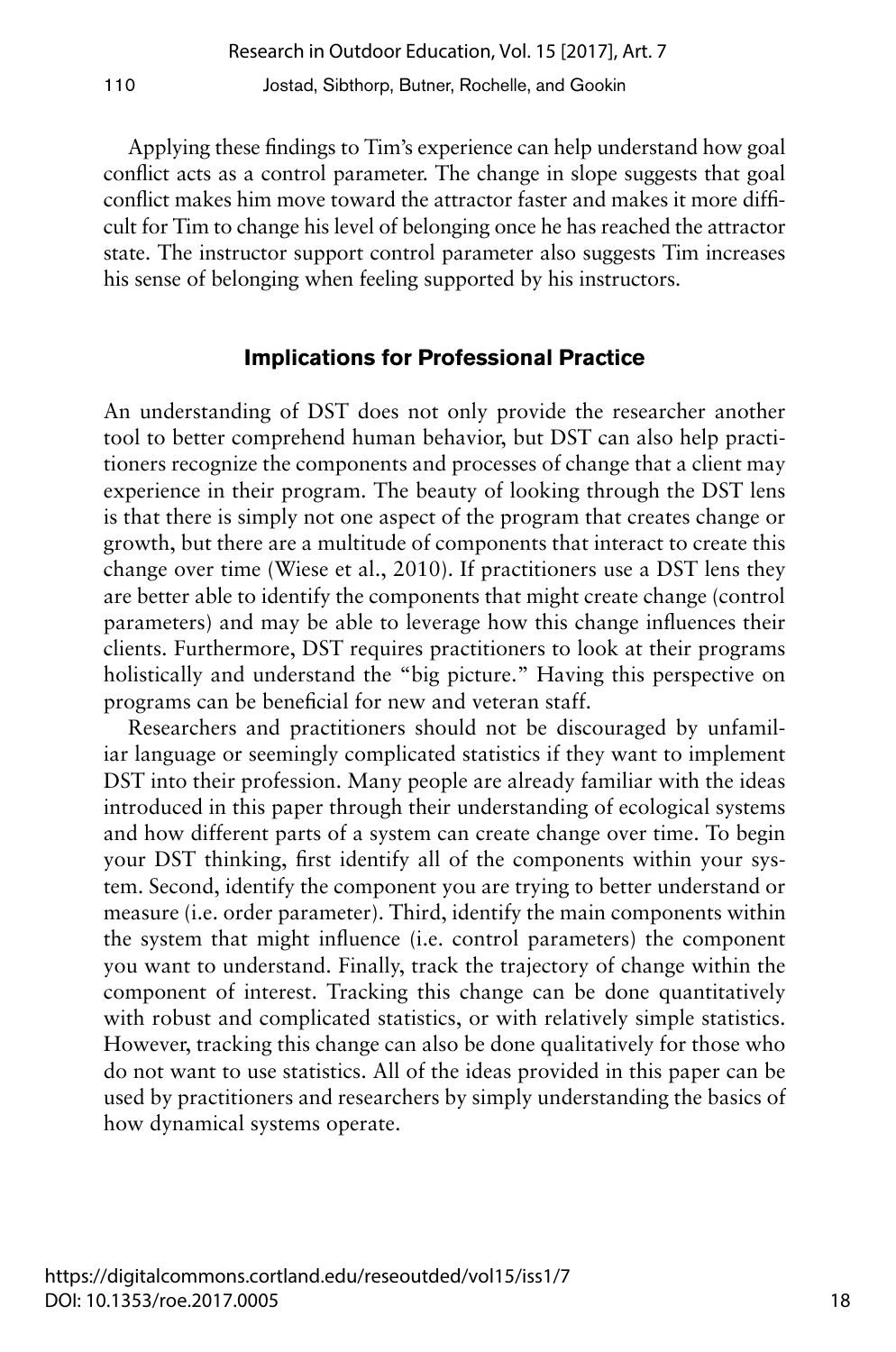Applying these findings to Tim's experience can help understand how goal conflict acts as a control parameter. The change in slope suggests that goal conflict makes him move toward the attractor faster and makes it more difficult for Tim to change his level of belonging once he has reached the attractor state. The instructor support control parameter also suggests Tim increases his sense of belonging when feeling supported by his instructors.

#### **Implications for Professional Practice**

An understanding of DST does not only provide the researcher another tool to better comprehend human behavior, but DST can also help practitioners recognize the components and processes of change that a client may experience in their program. The beauty of looking through the DST lens is that there is simply not one aspect of the program that creates change or growth, but there are a multitude of components that interact to create this change over time (Wiese et al., 2010). If practitioners use a DST lens they are better able to identify the components that might create change (control parameters) and may be able to leverage how this change influences their clients. Furthermore, DST requires practitioners to look at their programs holistically and understand the "big picture." Having this perspective on programs can be beneficial for new and veteran staff.

Researchers and practitioners should not be discouraged by unfamiliar language or seemingly complicated statistics if they want to implement DST into their profession. Many people are already familiar with the ideas introduced in this paper through their understanding of ecological systems and how different parts of a system can create change over time. To begin your DST thinking, first identify all of the components within your system. Second, identify the component you are trying to better understand or measure (i.e. order parameter). Third, identify the main components within the system that might influence (i.e. control parameters) the component you want to understand. Finally, track the trajectory of change within the component of interest. Tracking this change can be done quantitatively with robust and complicated statistics, or with relatively simple statistics. However, tracking this change can also be done qualitatively for those who do not want to use statistics. All of the ideas provided in this paper can be used by practitioners and researchers by simply understanding the basics of how dynamical systems operate.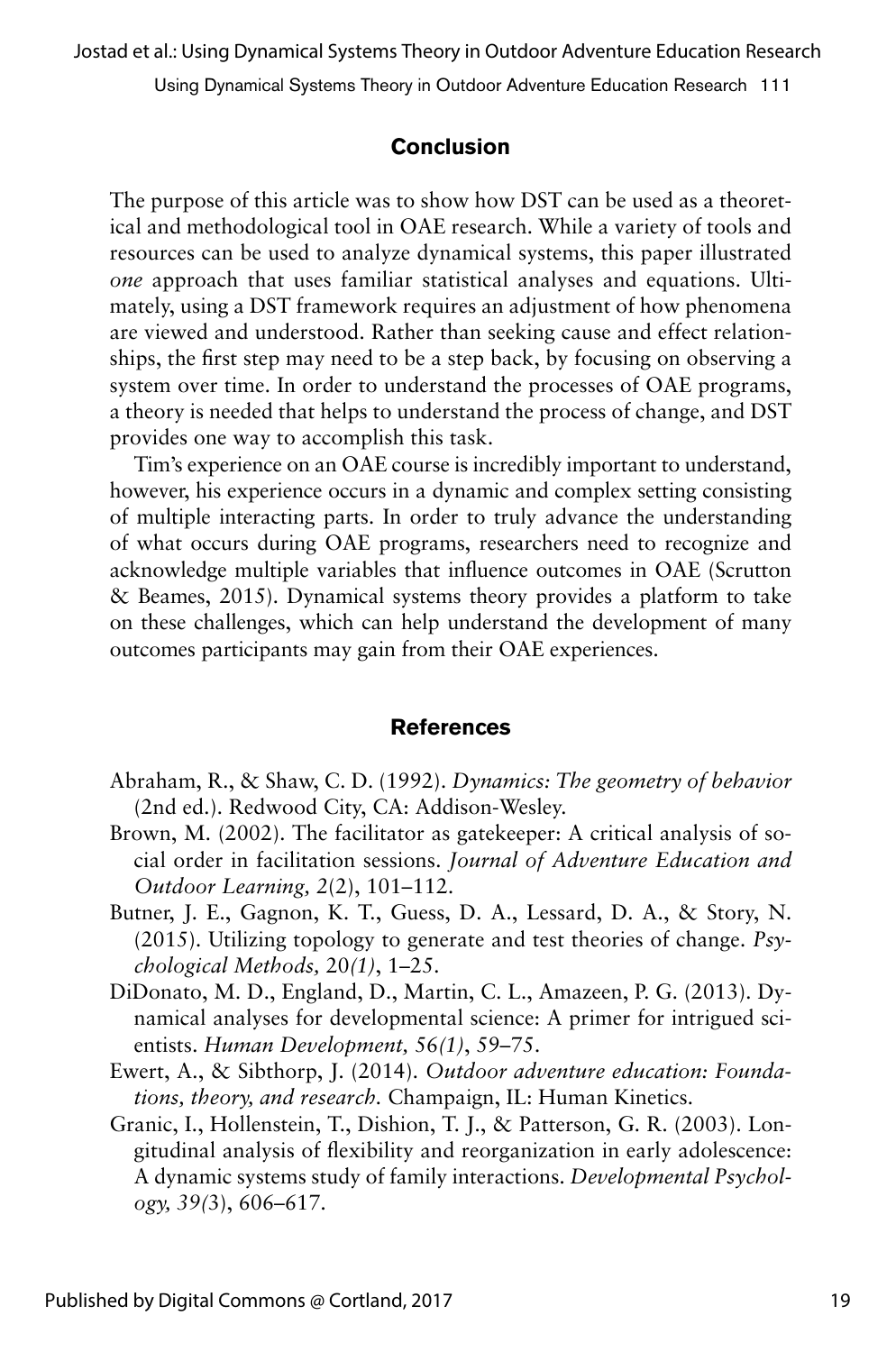Using Dynamical Systems Theory in Outdoor Adventure Education Research 111 Jostad et al.: Using Dynamical Systems Theory in Outdoor Adventure Education Research

### **Conclusion**

The purpose of this article was to show how DST can be used as a theoretical and methodological tool in OAE research. While a variety of tools and resources can be used to analyze dynamical systems, this paper illustrated *one* approach that uses familiar statistical analyses and equations. Ultimately, using a DST framework requires an adjustment of how phenomena are viewed and understood. Rather than seeking cause and effect relationships, the first step may need to be a step back, by focusing on observing a system over time. In order to understand the processes of OAE programs, a theory is needed that helps to understand the process of change, and DST provides one way to accomplish this task.

Tim's experience on an OAE course is incredibly important to understand, however, his experience occurs in a dynamic and complex setting consisting of multiple interacting parts. In order to truly advance the understanding of what occurs during OAE programs, researchers need to recognize and acknowledge multiple variables that influence outcomes in OAE (Scrutton & Beames, 2015). Dynamical systems theory provides a platform to take on these challenges, which can help understand the development of many outcomes participants may gain from their OAE experiences.

#### **References**

- Abraham, R., & Shaw, C. D. (1992). *Dynamics: The geometry of behavior* (2nd ed.). Redwood City, CA: Addison-Wesley.
- Brown, M. (2002). The facilitator as gatekeeper: A critical analysis of social order in facilitation sessions. *Journal of Adventure Education and Outdoor Learning, 2*(2), 101–112.
- Butner, J. E., Gagnon, K. T., Guess, D. A., Lessard, D. A., & Story, N. (2015). Utilizing topology to generate and test theories of change. *Psychological Methods,* 20*(1)*, 1–25.
- DiDonato, M. D., England, D., Martin, C. L., Amazeen, P. G. (2013). Dynamical analyses for developmental science: A primer for intrigued scientists. *Human Development,* 56*(1)*, 59–75.
- Ewert, A., & Sibthorp, J. (2014). *Outdoor adventure education: Foundations, theory, and research.* Champaign, IL: Human Kinetics.
- Granic, I., Hollenstein, T., Dishion, T. J., & Patterson, G. R. (2003). Longitudinal analysis of flexibility and reorganization in early adolescence: A dynamic systems study of family interactions. *Developmental Psychology, 39(*3), 606–617.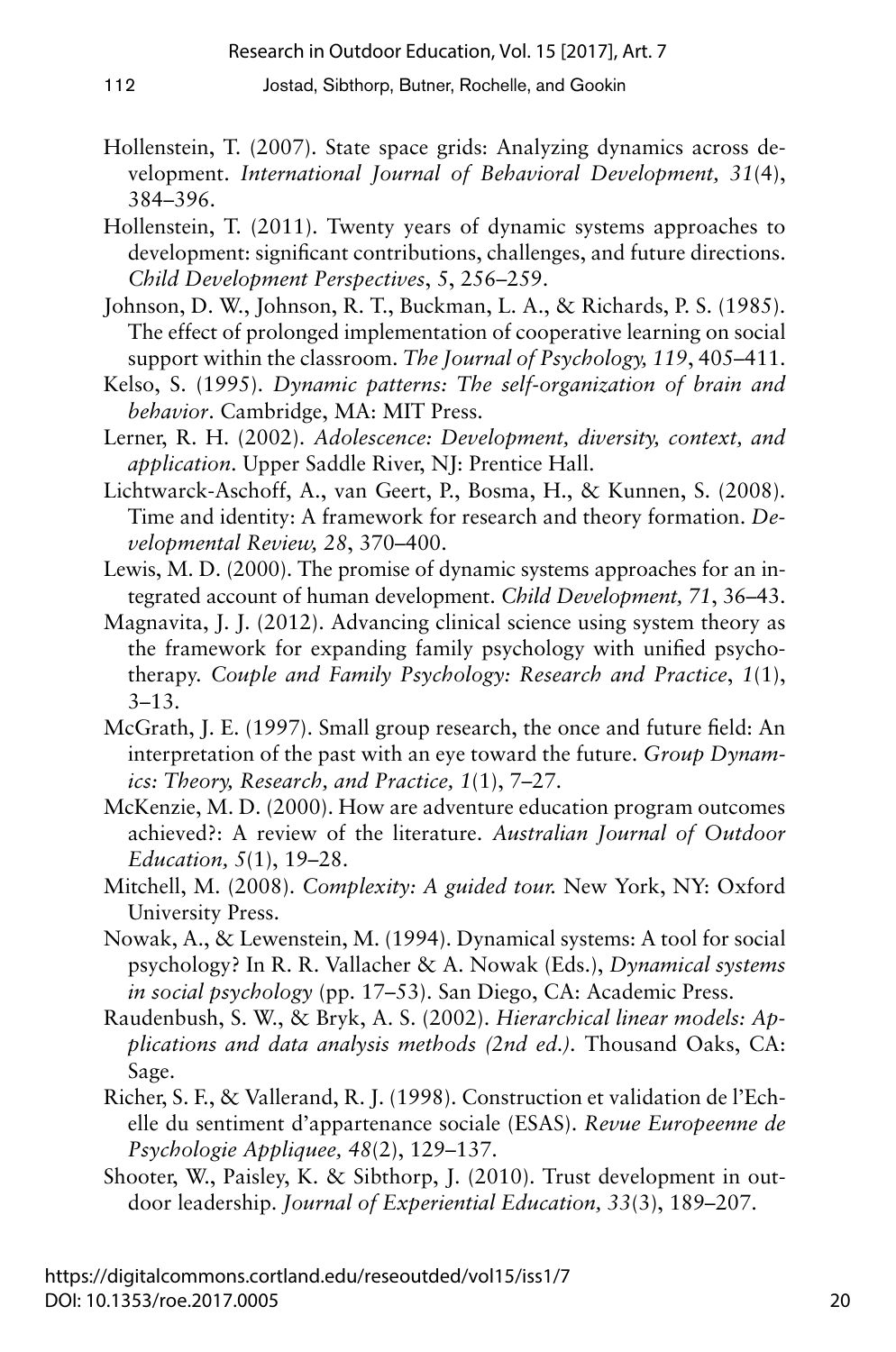- Hollenstein, T. (2007). State space grids: Analyzing dynamics across development. *International Journal of Behavioral Development, 31*(4), 384–396.
- Hollenstein, T. (2011). Twenty years of dynamic systems approaches to development: significant contributions, challenges, and future directions. *Child Development Perspectives*, 5, 256–259.
- Johnson, D. W., Johnson, R. T., Buckman, L. A., & Richards, P. S. (1985). The effect of prolonged implementation of cooperative learning on social support within the classroom. *The Journal of Psychology, 119*, 405–411.
- Kelso, S. (1995). *Dynamic patterns: The self-organization of brain and behavior*. Cambridge, MA: MIT Press.
- Lerner, R. H. (2002). *Adolescence: Development, diversity, context, and application*. Upper Saddle River, NJ: Prentice Hall.
- Lichtwarck-Aschoff, A., van Geert, P., Bosma, H., & Kunnen, S. (2008). Time and identity: A framework for research and theory formation. *Developmental Review, 28*, 370–400.
- Lewis, M. D. (2000). The promise of dynamic systems approaches for an integrated account of human development. *Child Development, 71*, 36–43.
- Magnavita, J. J. (2012). Advancing clinical science using system theory as the framework for expanding family psychology with unified psychotherapy. *Couple and Family Psychology: Research and Practice*, *1*(1),  $3 - 13$ .
- McGrath, J. E. (1997). Small group research, the once and future field: An interpretation of the past with an eye toward the future. *Group Dynamics: Theory, Research, and Practice, 1*(1), 7–27.
- McKenzie, M. D. (2000). How are adventure education program outcomes achieved?: A review of the literature. *Australian Journal of Outdoor Education, 5*(1), 19–28.
- Mitchell, M. (2008). *Complexity: A guided tour.* New York, NY: Oxford University Press.
- Nowak, A., & Lewenstein, M. (1994). Dynamical systems: A tool for social psychology? In R. R. Vallacher & A. Nowak (Eds.), *Dynamical systems in social psychology* (pp. 17–53). San Diego, CA: Academic Press.
- Raudenbush, S. W., & Bryk, A. S. (2002). *Hierarchical linear models: Applications and data analysis methods (2nd ed.).* Thousand Oaks, CA: Sage.
- Richer, S. F., & Vallerand, R. J. (1998). Construction et validation de l'Echelle du sentiment d'appartenance sociale (ESAS). *Revue Europeenne de Psychologie Appliquee, 48*(2), 129–137.
- Shooter, W., Paisley, K. & Sibthorp, J. (2010). Trust development in outdoor leadership. *Journal of Experiential Education, 33*(3), 189–207.